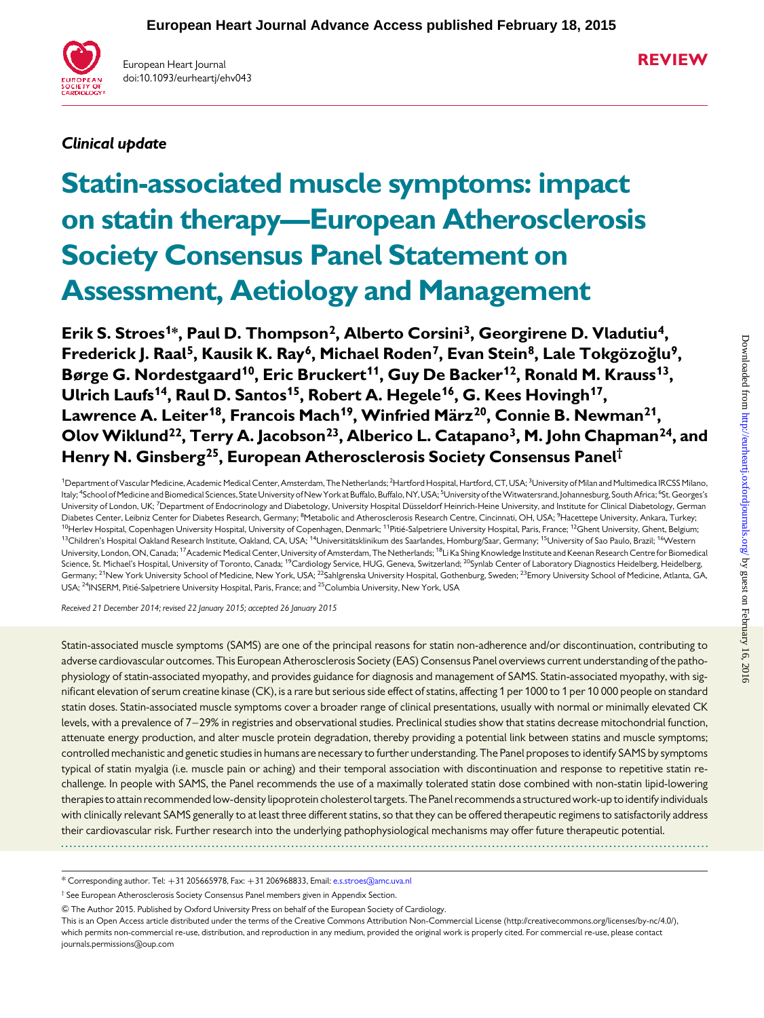

European Heart Journal doi:10.1093/eurheartj/ehv043

### Clinical update

# Statin-associated muscle symptoms: impact on statin therapy—European Atherosclerosis Society Consensus Panel Statement on Assessment, Aetiology and Management

Erik S. Stroes<sup>1\*</sup>, Paul D. Thompson<sup>2</sup>, Alberto Corsini<sup>3</sup>, Georgirene D. Vladutiu<sup>4</sup>, Frederick J. Raal<sup>5</sup>, Kausik K. Ray<sup>6</sup>, Michael Roden<sup>7</sup>, Evan Stein<sup>8</sup>, Lale Tokgözoğlu<sup>9</sup>, Børge G. Nordestgaard<sup>10</sup>, Eric Bruckert<sup>11</sup>, Guy De Backer<sup>12</sup>, Ronald M. Krauss<sup>13</sup>, Ulrich Laufs<sup>14</sup>, Raul D. Santos<sup>15</sup>, Robert A. Hegele<sup>16</sup>, G. Kees Hovingh<sup>17</sup>, Lawrence A. Leiter<sup>18</sup>, Francois Mach<sup>19</sup>, Winfried März<sup>20</sup>, Connie B. Newman<sup>21</sup>, Olov Wiklund<sup>22</sup>, Terry A. Jacobson<sup>23</sup>, Alberico L. Catapano<sup>3</sup>, M. John Chapman<sup>24</sup>, and Henry N. Ginsberg<sup>25</sup>, European Atherosclerosis Society Consensus Panel<sup>†</sup>

<sup>1</sup>Department of Vascular Medicine, Academic Medical Center, Amsterdam, The Netherlands; <sup>2</sup>Hartford Hospital, Hartford, CT, USA; <sup>3</sup>University of Milan and Multimedica IRCSS Milano. Italy; <sup>4</sup>School of Medicine and Biomedical Sciences, State University of New York at Buffalo, Buffalo, NY, USA; <sup>5</sup>University of the Witwatersrand, Johannesburg, South Africa; <sup>6</sup>St. Georges's University of London, UK; <sup>7</sup>Department of Endocrinology and Diabetology, University Hospital Düsseldorf Heinrich-Heine University, and Institute for Clinical Diabetology, German Diabetes Center, Leibniz Center for Diabetes Research, Germany; <sup>8</sup>Metabolic and Atherosclerosis Research Centre, Cincinnati, OH, USA; <sup>9</sup>Hacettepe University, Ankara, Turkey; <sup>10</sup>Herlev Hospital, Copenhagen University Hospital, University of Copenhagen, Denmark; <sup>11</sup>Pitié-Salpetriere University Hospital, Paris, France; <sup>12</sup>Ghent University, Ghent, Belgium; <sup>13</sup>Children's Hospital Oakland Research Institute, Oakland, CA, USA; <sup>14</sup>Universitätsklinikum des Saarlandes, Homburg/Saar, Germany; <sup>15</sup>University of Sao Paulo, Brazil; <sup>16</sup>Western University, London, ON, Canada; <sup>17</sup>Academic Medical Center, University of Amsterdam, The Netherlands; <sup>18</sup>Li Ka Shing Knowledge Institute and Keenan Research Centre for Biomedical Science, St. Michael's Hospital, University of Toronto, Canada; <sup>19</sup>Cardiology Service, HUG, Geneva, Switzerland; <sup>20</sup>Synlab Center of Laboratory Diagnostics Heidelberg, Heidelberg, Germany; <sup>21</sup>New York University School of Medicine, New York, USA; <sup>22S</sup>ahlgrenska University Hospital, Gothenburg, Sweden; <sup>23</sup>Emory University School of Medicine, Atlanta, GA, USA; <sup>24</sup>INSERM, Pitié-Salpetriere University Hospital, Paris, France; and <sup>25</sup>Columbia University, New York, USA

Received 21 December 2014; revised 22 January 2015; accepted 26 January 2015

Statin-associated muscle symptoms (SAMS) are one of the principal reasons for statin non-adherence and/or discontinuation, contributing to adverse cardiovascular outcomes. This European Atherosclerosis Society (EAS) Consensus Panel overviews current understanding of the pathophysiology of statin-associated myopathy, and provides guidance for diagnosis and management of SAMS. Statin-associated myopathy, with significant elevation of serum creatine kinase (CK), is a rare but serious side effect of statins, affecting 1 per 1000 to 1 per 10 000 people on standard statin doses. Statin-associated muscle symptoms cover a broader range of clinical presentations, usually with normal or minimally elevated CK levels, with a prevalence of 7–29% in registries and observational studies. Preclinical studies show that statins decrease mitochondrial function, attenuate energy production, and alter muscle protein degradation, thereby providing a potential link between statins and muscle symptoms; controlled mechanistic and genetic studies in humans are necessary to further understanding. The Panel proposes to identify SAMS by symptoms typical of statin myalgia (i.e. muscle pain or aching) and their temporal association with discontinuation and response to repetitive statin rechallenge. In people with SAMS, the Panel recommends the use of a maximally tolerated statin dose combined with non-statin lipid-lowering therapies to attain recommended low-density lipoprotein cholesterol targets. The Panel recommends a structured work-up to identify individuals with clinically relevant SAMS generally to at least three different statins, so that they can be offered therapeutic regimens to satisfactorily address their cardiovascular risk. Further research into the underlying pathophysiological mechanisms may offer future therapeutic potential.

-----------------------------------------------------------------------------------------------------------------------------------------------------------

& The Author 2015. Published by Oxford University Press on behalf of the European Society of Cardiology.

This is an Open Access article distributed under the terms of the Creative Commons Attribution Non-Commercial License [\(http://creativecommons.org/licenses/by-nc/4.0/](http://creativecommons.org/licenses/by-nc/4.0/)), which permits non-commercial re-use, distribution, and reproduction in any medium, provided the original work is properly cited. For commercial re-use, please contact journals.permissions@oup.com

<sup>\*</sup> Corresponding author. Tel: +31 205665978, Fax: +31 206968833, Email: [e.s.stroes@amc.uva.nl](mailto:e.s.stroes@amc.uva.nl)

<sup>†</sup> See European Atherosclerosis Society Consensus Panel members given in Appendix Section.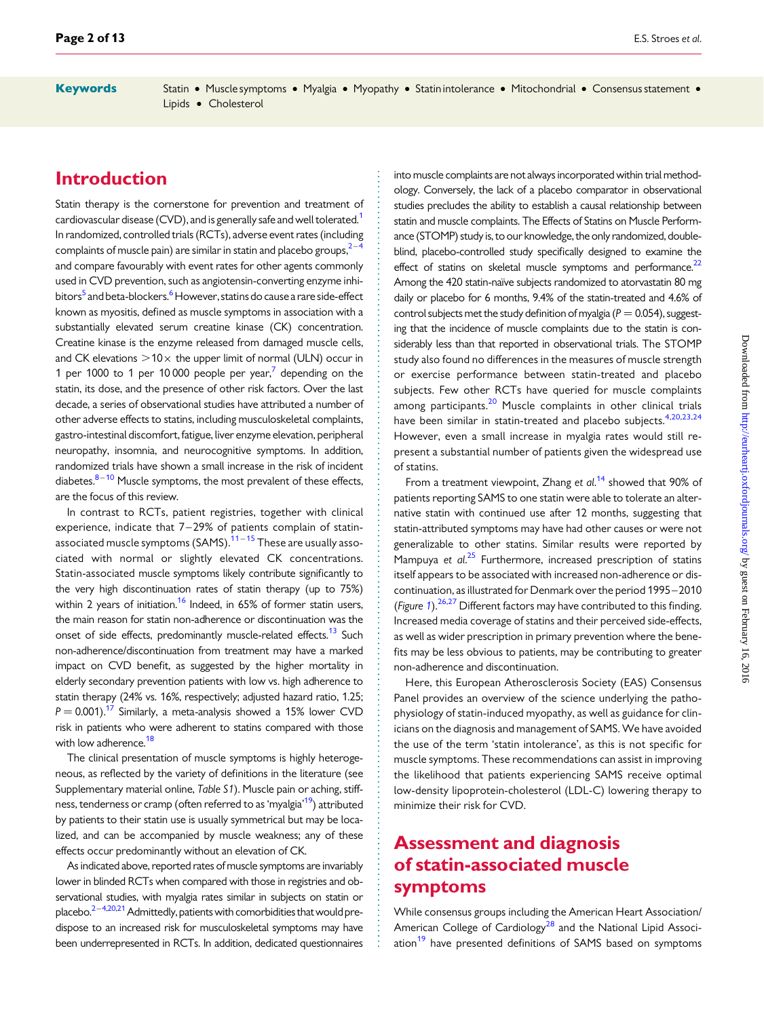Keywords Statin • Musclesymptoms • Myalgia • Myopathy • Statinintolerance • Mitochondrial • Consensus statement • Lipids • Cholesterol

# Introduction

Statin therapy is the cornerstone for prevention and treatment of cardiovascular disease (CVD), and is generally safe and well tolerated.<sup>[1](#page-10-0)</sup> In randomized, controlled trials (RCTs), adverse event rates (including complaints of muscle pain) are similar in statin and placebo groups,  $2^{-4}$  $2^{-4}$  $2^{-4}$  $2^{-4}$ and compare favourably with event rates for other agents commonly used in CVD prevention, such as angiotensin-converting enzyme inhi-bitors<sup>5</sup> and beta-blockers.<sup>[6](#page-10-0)</sup> However, statins do cause a rare side-effect known as myositis, defined as muscle symptoms in association with a substantially elevated serum creatine kinase (CK) concentration. Creatine kinase is the enzyme released from damaged muscle cells, and CK elevations  $>10\times$  the upper limit of normal (ULN) occur in 1 per 1000 to 1 per 10 000 people per year, $7$  depending on the statin, its dose, and the presence of other risk factors. Over the last decade, a series of observational studies have attributed a number of other adverse effects to statins, including musculoskeletal complaints, gastro-intestinal discomfort, fatigue, liver enzyme elevation, peripheral neuropathy, insomnia, and neurocognitive symptoms. In addition, randomized trials have shown a small increase in the risk of incident diabetes. $8-10$  $8-10$  Muscle symptoms, the most prevalent of these effects, are the focus of this review.

In contrast to RCTs, patient registries, together with clinical experience, indicate that 7–29% of patients complain of statin-associated muscle symptoms (SAMS).<sup>[11](#page-10-0)-[15](#page-10-0)</sup> These are usually associated with normal or slightly elevated CK concentrations. Statin-associated muscle symptoms likely contribute significantly to the very high discontinuation rates of statin therapy (up to 75%) within 2 years of initiation.<sup>16</sup> Indeed, in 65% of former statin users, the main reason for statin non-adherence or discontinuation was the onset of side effects, predominantly muscle-related effects.<sup>13</sup> Such non-adherence/discontinuation from treatment may have a marked impact on CVD benefit, as suggested by the higher mortality in elderly secondary prevention patients with low vs. high adherence to statin therapy (24% vs. 16%, respectively; adjusted hazard ratio, 1.25;  $P = 0.001$ .<sup>17</sup> Similarly, a meta-analysis showed a 15% lower CVD risk in patients who were adherent to statins compared with those with low adherence.<sup>[18](#page-10-0)</sup>

The clinical presentation of muscle symptoms is highly heterogeneous, as reflected by the variety of definitions in the literature (see [Supplementary material online,](http://creativecommons.org/licenses/by-nc/4.0/) Table S1). Muscle pain or aching, stiffness, tenderness or cramp (often referred to as 'myalgia'<sup>19</sup>) attributed by patients to their statin use is usually symmetrical but may be localized, and can be accompanied by muscle weakness; any of these effects occur predominantly without an elevation of CK.

As indicated above, reported rates of muscle symptoms are invariably lower in blinded RCTs when compared with those in registries and observational studies, with myalgia rates similar in subjects on statin or placebo. $2^{-4,20,21}$  $2^{-4,20,21}$  $2^{-4,20,21}$  Admittedly, patients with comorbidities that would predispose to an increased risk for musculoskeletal symptoms may have been underrepresented in RCTs. In addition, dedicated questionnaires

into muscle complaints are not always incorporated within trial methodology. Conversely, the lack of a placebo comparator in observational studies precludes the ability to establish a causal relationship between statin and muscle complaints. The Effects of Statins on Muscle Performance (STOMP) study is, to our knowledge, the only randomized, doubleblind, placebo-controlled study specifically designed to examine the effect of statins on skeletal muscle symptoms and performance. $^{22}$  $^{22}$  $^{22}$ Among the 420 statin-naïve subjects randomized to atorvastatin 80 mg daily or placebo for 6 months, 9.4% of the statin-treated and 4.6% of control subjects met the study definition of myalgia ( $P = 0.054$ ), suggesting that the incidence of muscle complaints due to the statin is considerably less than that reported in observational trials. The STOMP study also found no differences in the measures of muscle strength or exercise performance between statin-treated and placebo subjects. Few other RCTs have queried for muscle complaints among participants.<sup>[20](#page-10-0)</sup> Muscle complaints in other clinical trials have been similar in statin-treated and placebo subjects.<sup>[4](#page-10-0),[20,23,24](#page-10-0)</sup> However, even a small increase in myalgia rates would still represent a substantial number of patients given the widespread use of statins.

From a treatment viewpoint, Zhang et al.<sup>[14](#page-10-0)</sup> showed that 90% of patients reporting SAMS to one statin were able to tolerate an alternative statin with continued use after 12 months, suggesting that statin-attributed symptoms may have had other causes or were not generalizable to other statins. Similar results were reported by Mampuya et al.<sup>[25](#page-10-0)</sup> Furthermore, increased prescription of statins itself appears to be associated with increased non-adherence or discontinuation, as illustrated for Denmark over the period 1995–2010 (Figure [1](#page-2-0)).<sup>[26,27](#page-10-0)</sup> Different factors may have contributed to this finding. Increased media coverage of statins and their perceived side-effects, as well as wider prescription in primary prevention where the benefits may be less obvious to patients, may be contributing to greater non-adherence and discontinuation.

Here, this European Atherosclerosis Society (EAS) Consensus Panel provides an overview of the science underlying the pathophysiology of statin-induced myopathy, as well as guidance for clinicians on the diagnosis and management of SAMS. We have avoided the use of the term 'statin intolerance', as this is not specific for muscle symptoms. These recommendations can assist in improving the likelihood that patients experiencing SAMS receive optimal low-density lipoprotein-cholesterol (LDL-C) lowering therapy to minimize their risk for CVD.

# Assessment and diagnosis of statin-associated muscle symptoms

While consensus groups including the American Heart Association/ American College of Cardiology<sup>[28](#page-10-0)</sup> and the National Lipid Association<sup>19</sup> have presented definitions of SAMS based on symptoms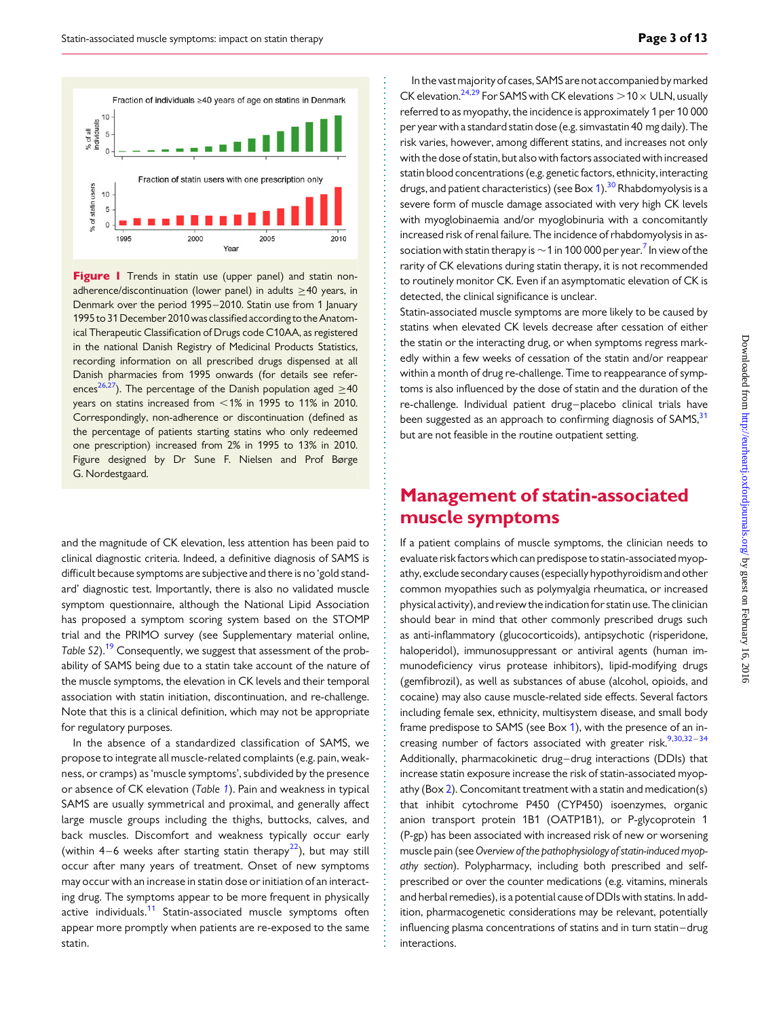<span id="page-2-0"></span>

Figure I Trends in statin use (upper panel) and statin nonadherence/discontinuation (lower panel) in adults ≥40 years, in Denmark over the period 1995–2010. Statin use from 1 January 1995 to 31 December 2010 was classified according to the Anatomical Therapeutic Classification of Drugs code C10AA, as registered in the national Danish Registry of Medicinal Products Statistics, recording information on all prescribed drugs dispensed at all Danish pharmacies from 1995 onwards (for details see refer-ences<sup>[26,27](#page-10-0)</sup>). The percentage of the Danish population aged  $\geq$ 40 years on statins increased from  $<$  1% in 1995 to 11% in 2010. Correspondingly, non-adherence or discontinuation (defined as the percentage of patients starting statins who only redeemed one prescription) increased from 2% in 1995 to 13% in 2010. Figure designed by Dr Sune F. Nielsen and Prof Børge G. Nordestgaard.

and the magnitude of CK elevation, less attention has been paid to clinical diagnostic criteria. Indeed, a definitive diagnosis of SAMS is difficult because symptoms are subjective and there is no 'gold standard' diagnostic test. Importantly, there is also no validated muscle symptom questionnaire, although the National Lipid Association has proposed a symptom scoring system based on the STOMP trial and the PRIMO survey (see [Supplementary material online,](http://eurheartj.oxfordjournals.org/lookup/suppl/doi:10.1093/eurheartj/ehv043/-/DC1) [Table S2](http://eurheartj.oxfordjournals.org/lookup/suppl/doi:10.1093/eurheartj/ehv043/-/DC1)).<sup>[19](#page-10-0)</sup> Consequently, we suggest that assessment of the probability of SAMS being due to a statin take account of the nature of the muscle symptoms, the elevation in CK levels and their temporal association with statin initiation, discontinuation, and re-challenge. Note that this is a clinical definition, which may not be appropriate for regulatory purposes.

In the absence of a standardized classification of SAMS, we propose to integrate all muscle-related complaints (e.g. pain, weakness, or cramps) as 'muscle symptoms', subdivided by the presence or absence of CK elevation (Table [1](#page-3-0)). Pain and weakness in typical SAMS are usually symmetrical and proximal, and generally affect large muscle groups including the thighs, buttocks, calves, and back muscles. Discomfort and weakness typically occur early (within 4–6 weeks after starting statin therapy<sup>22</sup>), but may still occur after many years of treatment. Onset of new symptoms may occur with an increase in statin dose or initiation of an interacting drug. The symptoms appear to be more frequent in physically active individuals.<sup>[11](#page-10-0)</sup> Statin-associated muscle symptoms often appear more promptly when patients are re-exposed to the same statin.

In the vast majority of cases, SAMS are not accompanied by marked CK elevation.<sup>[24,29](#page-10-0)</sup> For SAMS with CK elevations  $>$  10  $\times$  ULN, usually referred to as myopathy, the incidence is approximately 1 per 10 000 per year with a standard statin dose (e.g. simvastatin 40 mg daily). The risk varies, however, among different statins, and increases not only with the dose of statin, but also with factors associated with increased statin blood concentrations (e.g. genetic factors, ethnicity, interacting drugs, and patient characteristics) (see Box [1\)](#page-4-0).<sup>[30](#page-10-0)</sup> Rhabdomyolysis is a severe form of muscle damage associated with very high CK levels with myoglobinaemia and/or myoglobinuria with a concomitantly increased risk of renal failure. The incidence of rhabdomyolysis in association with statin therapy is  $\sim$  1 in 100 000 per year.  $^7$  $^7$  In view of the rarity of CK elevations during statin therapy, it is not recommended to routinely monitor CK. Even if an asymptomatic elevation of CK is detected, the clinical significance is unclear.

Statin-associated muscle symptoms are more likely to be caused by statins when elevated CK levels decrease after cessation of either the statin or the interacting drug, or when symptoms regress markedly within a few weeks of cessation of the statin and/or reappear within a month of drug re-challenge. Time to reappearance of symptoms is also influenced by the dose of statin and the duration of the re-challenge. Individual patient drug–placebo clinical trials have been suggested as an approach to confirming diagnosis of SAMS.<sup>[31](#page-10-0)</sup> but are not feasible in the routine outpatient setting.

# Management of statin-associated muscle symptoms

If a patient complains of muscle symptoms, the clinician needs to evaluate risk factors which can predispose to statin-associated myopathy, exclude secondary causes (especially hypothyroidism and other common myopathies such as polymyalgia rheumatica, or increased physicalactivity), and reviewthe indication for statin use. The clinician should bear in mind that other commonly prescribed drugs such as anti-inflammatory (glucocorticoids), antipsychotic (risperidone, haloperidol), immunosuppressant or antiviral agents (human immunodeficiency virus protease inhibitors), lipid-modifying drugs (gemfibrozil), as well as substances of abuse (alcohol, opioids, and cocaine) may also cause muscle-related side effects. Several factors including female sex, ethnicity, multisystem disease, and small body frame predispose to SAMS (see Box [1\)](#page-4-0), with the presence of an increasing number of factors associated with greater risk. $9,30,32-34$  $9,30,32-34$ Additionally, pharmacokinetic drug–drug interactions (DDIs) that increase statin exposure increase the risk of statin-associated myopathy (Box [2](#page-4-0)). Concomitant treatment with a statin and medication(s) that inhibit cytochrome P450 (CYP450) isoenzymes, organic anion transport protein 1B1 (OATP1B1), or P-glycoprotein 1 (P-gp) has been associated with increased risk of new or worsening muscle pain (see Overview of the pathophysiology of statin-induced myopathy section). Polypharmacy, including both prescribed and selfprescribed or over the counter medications (e.g. vitamins, minerals and herbal remedies), is a potential cause of DDIs with statins. In addition, pharmacogenetic considerations may be relevant, potentially influencing plasma concentrations of statins and in turn statin–drug interactions.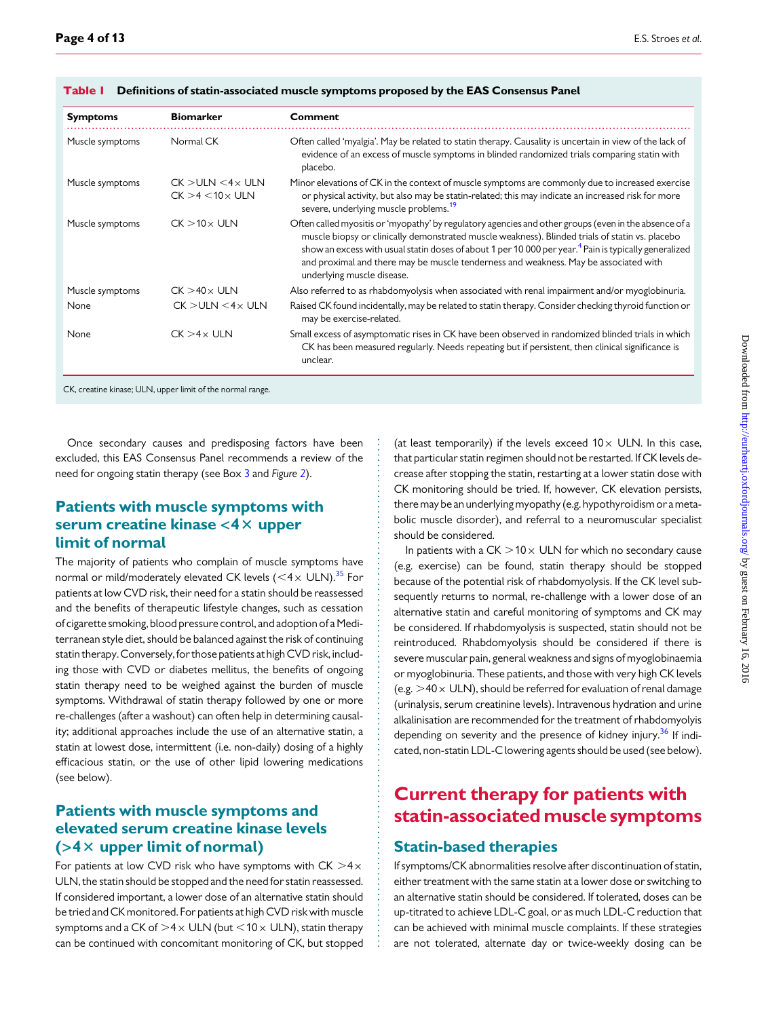| <b>Symptoms</b> | <b>Biomarker</b>                                      | Comment                                                                                                                                                                                                                                                                                                                                                                                                                                             |
|-----------------|-------------------------------------------------------|-----------------------------------------------------------------------------------------------------------------------------------------------------------------------------------------------------------------------------------------------------------------------------------------------------------------------------------------------------------------------------------------------------------------------------------------------------|
| Muscle symptoms | Normal CK                                             | Often called 'myalgia'. May be related to statin therapy. Causality is uncertain in view of the lack of<br>evidence of an excess of muscle symptoms in blinded randomized trials comparing statin with<br>placebo.                                                                                                                                                                                                                                  |
| Muscle symptoms | $CK > ULN < 4 \times ULN$<br>$CK > 4 < 10 \times ULN$ | Minor elevations of CK in the context of muscle symptoms are commonly due to increased exercise<br>or physical activity, but also may be statin-related; this may indicate an increased risk for more<br>severe, underlying muscle problems. <sup>19</sup>                                                                                                                                                                                          |
| Muscle symptoms | $CK > 10 \times ULN$                                  | Often called myositis or 'myopathy' by regulatory agencies and other groups (even in the absence of a<br>muscle biopsy or clinically demonstrated muscle weakness). Blinded trials of statin vs. placebo<br>show an excess with usual statin doses of about 1 per 10 000 per year. <sup>4</sup> Pain is typically generalized<br>and proximal and there may be muscle tenderness and weakness. May be associated with<br>underlying muscle disease. |
| Muscle symptoms | $CK > 40 \times ULN$                                  | Also referred to as rhabdomyolysis when associated with renal impairment and/or myoglobinuria.                                                                                                                                                                                                                                                                                                                                                      |
| None            | $CK > ULN < 4 \times ULN$                             | Raised CK found incidentally, may be related to statin therapy. Consider checking thyroid function or<br>may be exercise-related.                                                                                                                                                                                                                                                                                                                   |
| None            | $CK > 4 \times ULN$                                   | Small excess of asymptomatic rises in CK have been observed in randomized blinded trials in which<br>CK has been measured regularly. Needs repeating but if persistent, then clinical significance is<br>unclear.                                                                                                                                                                                                                                   |

#### <span id="page-3-0"></span>Table 1 Definitions of statin-associated muscle symptoms proposed by the EAS Consensus Panel

Once secondary causes and predisposing factors have been excluded, this EAS Consensus Panel recommends a review of the need for ongoing statin therapy (see Box [3](#page-4-0) and Figure [2](#page-5-0)).

### Patients with muscle symptoms with serum creatine kinase  $<$ 4 $\times$  upper limit of normal

The majority of patients who complain of muscle symptoms have normal or mild/moderately elevated CK levels ( $\leq$  4 $\times$  ULN).<sup>[35](#page-10-0)</sup> For patients at low CVD risk, their need for a statin should be reassessed and the benefits of therapeutic lifestyle changes, such as cessation of cigarette smoking, blood pressure control, and adoption of a Mediterranean style diet, should be balanced against the risk of continuing statin therapy. Conversely, for those patients at high CVD risk, including those with CVD or diabetes mellitus, the benefits of ongoing statin therapy need to be weighed against the burden of muscle symptoms. Withdrawal of statin therapy followed by one or more re-challenges (after a washout) can often help in determining causality; additional approaches include the use of an alternative statin, a statin at lowest dose, intermittent (i.e. non-daily) dosing of a highly efficacious statin, or the use of other lipid lowering medications (see below).

### Patients with muscle symptoms and elevated serum creatine kinase levels  $($ >4 $\times$  upper limit of normal)

For patients at low CVD risk who have symptoms with  $CK > 4 \times$ ULN, the statin should be stopped and the need for statin reassessed. If considered important, a lower dose of an alternative statin should be tried and CK monitored. For patients athigh CVD risk with muscle symptoms and a CK of  $>4\times$  ULN (but <10  $\times$  ULN), statin therapy can be continued with concomitant monitoring of CK, but stopped

(at least temporarily) if the levels exceed  $10 \times$  ULN. In this case, that particular statin regimen should not be restarted. If CK levels decrease after stopping the statin, restarting at a lower statin dose with CK monitoring should be tried. If, however, CK elevation persists, there may be an underlying myopathy (e.g. hypothyroidism or a metabolic muscle disorder), and referral to a neuromuscular specialist should be considered.

In patients with a  $CK > 10 \times$  ULN for which no secondary cause (e.g. exercise) can be found, statin therapy should be stopped because of the potential risk of rhabdomyolysis. If the CK level subsequently returns to normal, re-challenge with a lower dose of an alternative statin and careful monitoring of symptoms and CK may be considered. If rhabdomyolysis is suspected, statin should not be reintroduced. Rhabdomyolysis should be considered if there is severe muscular pain, general weakness and signs of myoglobinaemia or myoglobinuria. These patients, and those with very high CK levels (e.g.  $>$  40  $\times$  ULN), should be referred for evaluation of renal damage (urinalysis, serum creatinine levels). Intravenous hydration and urine alkalinisation are recommended for the treatment of rhabdomyolyis depending on severity and the presence of kidney injury.<sup>[36](#page-10-0)</sup> If indicated, non-statin LDL-C lowering agents should be used (see below).

# Current therapy for patients with statin-associated muscle symptoms

### Statin-based therapies

If symptoms/CK abnormalities resolve after discontinuation of statin, either treatment with the same statin at a lower dose or switching to an alternative statin should be considered. If tolerated, doses can be up-titrated to achieve LDL-C goal, or as much LDL-C reduction that can be achieved with minimal muscle complaints. If these strategies are not tolerated, alternate day or twice-weekly dosing can be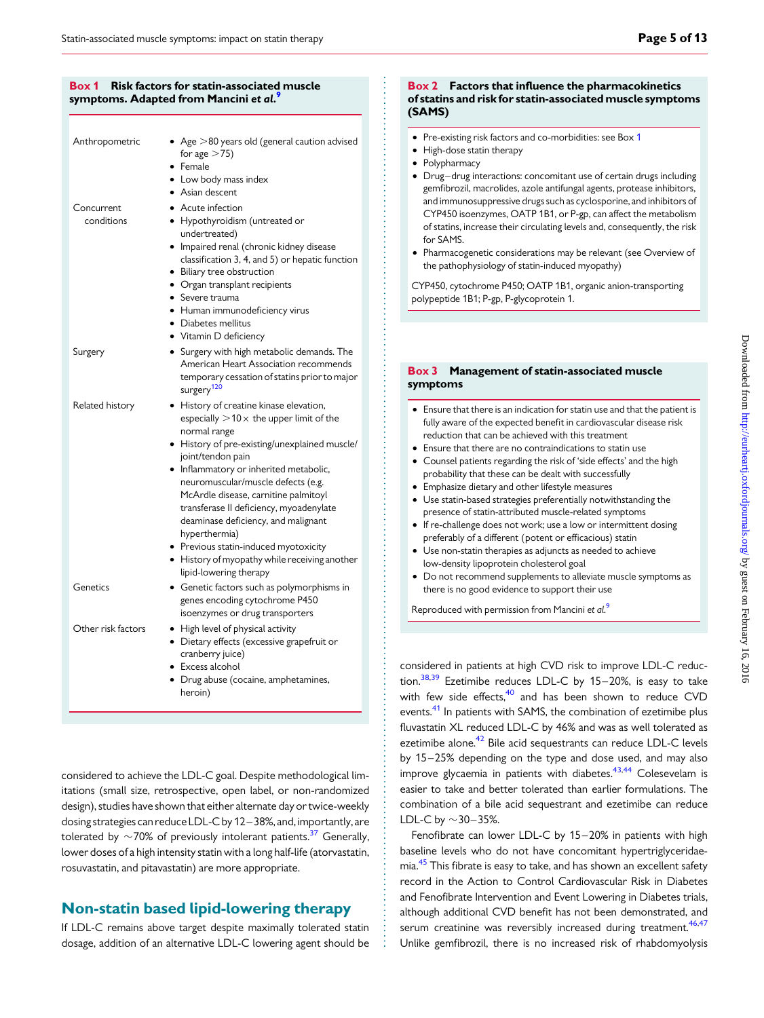#### <span id="page-4-0"></span>Box 1 Risk factors for statin-associated muscle symptoms. Adapted from Mancini et al.<sup>[9](#page-10-0)</sup>

| Anthropometric           | • Age $>$ 80 years old (general caution advised<br>for age $>75$ )<br>• Female<br>• Low body mass index<br>• Asian descent                                                                                                                                                                                                                                                                                                                                                                                                    |
|--------------------------|-------------------------------------------------------------------------------------------------------------------------------------------------------------------------------------------------------------------------------------------------------------------------------------------------------------------------------------------------------------------------------------------------------------------------------------------------------------------------------------------------------------------------------|
| Concurrent<br>conditions | • Acute infection<br>• Hypothyroidism (untreated or<br>undertreated)<br>· Impaired renal (chronic kidney disease<br>classification 3, 4, and 5) or hepatic function<br>• Biliary tree obstruction<br>• Organ transplant recipients<br>• Severe trauma<br>· Human immunodeficiency virus<br>• Diabetes mellitus<br>• Vitamin D deficiency                                                                                                                                                                                      |
| Surgery                  | • Surgery with high metabolic demands. The<br>American Heart Association recommends<br>temporary cessation of statins prior to major<br>surgery <sup>120</sup>                                                                                                                                                                                                                                                                                                                                                                |
| Related history          | • History of creatine kinase elevation,<br>especially $>10\times$ the upper limit of the<br>normal range<br>• History of pre-existing/unexplained muscle/<br>joint/tendon pain<br>· Inflammatory or inherited metabolic,<br>neuromuscular/muscle defects (e.g.<br>McArdle disease, carnitine palmitoyl<br>transferase II deficiency, myoadenylate<br>deaminase deficiency, and malignant<br>hyperthermia)<br>• Previous statin-induced myotoxicity<br>• History of myopathy while receiving another<br>lipid-lowering therapy |
| Genetics                 | • Genetic factors such as polymorphisms in<br>genes encoding cytochrome P450<br>isoenzymes or drug transporters                                                                                                                                                                                                                                                                                                                                                                                                               |
| Other risk factors       | • High level of physical activity<br>· Dietary effects (excessive grapefruit or<br>cranberry juice)<br>• Excess alcohol<br>Drug abuse (cocaine, amphetamines,<br>heroin)                                                                                                                                                                                                                                                                                                                                                      |

considered to achieve the LDL-C goal. Despite methodological limitations (small size, retrospective, open label, or non-randomized design), studies have shown that either alternate day or twice-weekly dosing strategies can reduce LDL-C by 12-38%, and, importantly, are tolerated by  $\sim$ 70% of previously intolerant patients.<sup>37</sup> Generally, lower doses of a high intensity statin with a long half-life (atorvastatin, rosuvastatin, and pitavastatin) are more appropriate.

### Non-statin based lipid-lowering therapy

If LDL-C remains above target despite maximally tolerated statin dosage, addition of an alternative LDL-C lowering agent should be

#### Box 2 Factors that influence the pharmacokinetics of statins and risk for statin-associated muscle symptoms (SAMS)

- Pre-existing risk factors and co-morbidities: see Box [1](#page-10-0)
- High-dose statin therapy
- Polypharmacy
- Drug-drug interactions: concomitant use of certain drugs including gemfibrozil, macrolides, azole antifungal agents, protease inhibitors, and immunosuppressive drugs such as cyclosporine, and inhibitors of CYP450 isoenzymes, OATP 1B1, or P-gp, can affect the metabolism of statins, increase their circulating levels and, consequently, the risk for SAMS.
- Pharmacogenetic considerations may be relevant (see Overview of the pathophysiology of statin-induced myopathy)

CYP450, cytochrome P450; OATP 1B1, organic anion-transporting polypeptide 1B1; P-gp, P-glycoprotein 1.

#### Box 3 Management of statin-associated muscle symptoms

- Ensure that there is an indication for statin use and that the patient is fully aware of the expected benefit in cardiovascular disease risk reduction that can be achieved with this treatment
- Ensure that there are no contraindications to statin use • Counsel patients regarding the risk of 'side effects' and the high probability that these can be dealt with successfully
- Emphasize dietary and other lifestyle measures
- Use statin-based strategies preferentially notwithstanding the presence of statin-attributed muscle-related symptoms
- If re-challenge does not work; use a low or intermittent dosing preferably of a different (potent or efficacious) statin
- Use non-statin therapies as adjuncts as needed to achieve low-density lipoprotein cholesterol goal
- Do not recommend supplements to alleviate muscle symptoms as there is no good evidence to support their use

Reproduced with permission from Mancini et al.<sup>[9](#page-10-0)</sup>

considered in patients at high CVD risk to improve LDL-C reduction. $38,39$  Ezetimibe reduces LDL-C by 15-20%, is easy to take with few side effects, $40$  and has been shown to reduce CVD events.<sup>41</sup> In patients with SAMS, the combination of ezetimibe plus fluvastatin XL reduced LDL-C by 46% and was as well tolerated as ezetimibe alone.<sup>42</sup> Bile acid sequestrants can reduce LDL-C levels by 15–25% depending on the type and dose used, and may also improve glycaemia in patients with diabetes.<sup>[43,44](#page-11-0)</sup> Colesevelam is easier to take and better tolerated than earlier formulations. The combination of a bile acid sequestrant and ezetimibe can reduce LDL-C by  $\sim$  30–35%.

Fenofibrate can lower LDL-C by 15–20% in patients with high baseline levels who do not have concomitant hypertriglyceridae-mia.<sup>[45](#page-11-0)</sup> This fibrate is easy to take, and has shown an excellent safety record in the Action to Control Cardiovascular Risk in Diabetes and Fenofibrate Intervention and Event Lowering in Diabetes trials, although additional CVD benefit has not been demonstrated, and serum creatinine was reversibly increased during treatment.<sup>46,47</sup> Unlike gemfibrozil, there is no increased risk of rhabdomyolysis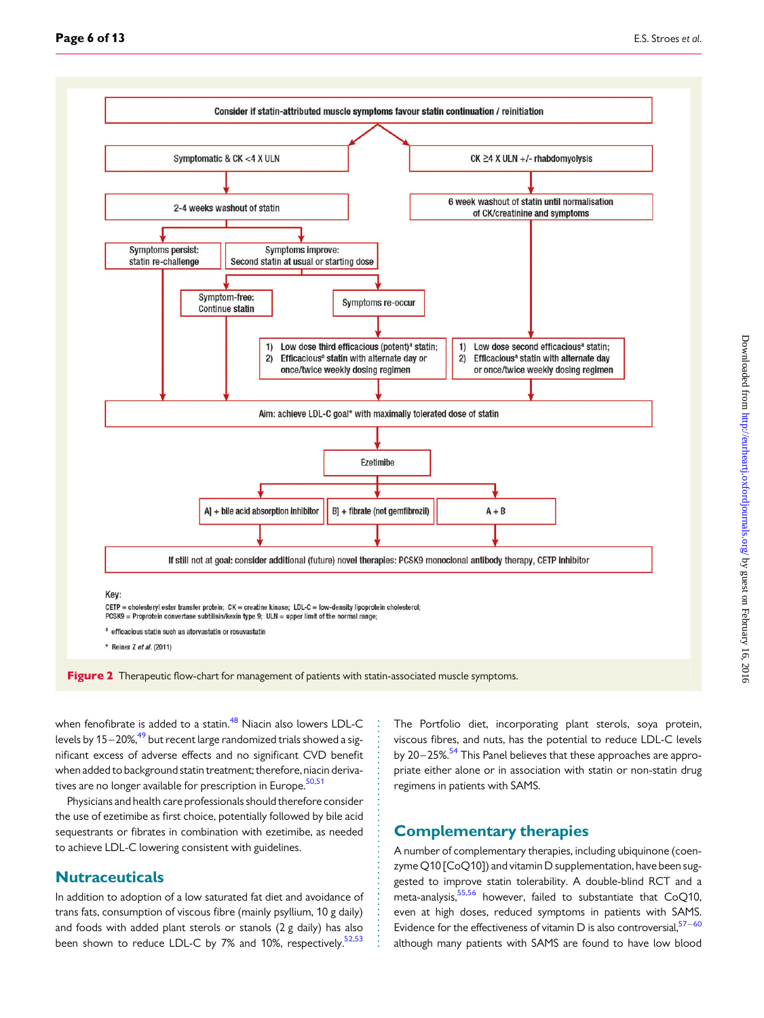<span id="page-5-0"></span>

when fenofibrate is added to a statin.<sup>[48](#page-11-0)</sup> Niacin also lowers LDL-C levels by  $15-20\%$ ,  $49$  but recent large randomized trials showed a significant excess of adverse effects and no significant CVD benefit when added to background statin treatment; therefore, niacin deriva-tives are no longer available for prescription in Europe.<sup>[50](#page-11-0),[51](#page-11-0)</sup>

Physicians and health care professionals should therefore consider the use of ezetimibe as first choice, potentially followed by bile acid sequestrants or fibrates in combination with ezetimibe, as needed to achieve LDL-C lowering consistent with guidelines.

### **Nutraceuticals**

In addition to adoption of a low saturated fat diet and avoidance of trans fats, consumption of viscous fibre (mainly psyllium, 10 g daily) and foods with added plant sterols or stanols (2 g daily) has also been shown to reduce LDL-C by  $7\%$  and 10%, respectively. $52,53$ 

The Portfolio diet, incorporating plant sterols, soya protein, viscous fibres, and nuts, has the potential to reduce LDL-C levels by  $20-25\%$ .<sup>[54](#page-11-0)</sup> This Panel believes that these approaches are appropriate either alone or in association with statin or non-statin drug regimens in patients with SAMS.

### Complementary therapies

A number of complementary therapies, including ubiquinone (coenzyme Q10 [CoQ10]) and vitamin D supplementation, have been suggested to improve statin tolerability. A double-blind RCT and a meta-analysis,  $55,56$  $55,56$  $55,56$  however, failed to substantiate that CoQ10, even at high doses, reduced symptoms in patients with SAMS. Evidence for the effectiveness of vitamin D is also controversial,  $57-60$  $57-60$ although many patients with SAMS are found to have low blood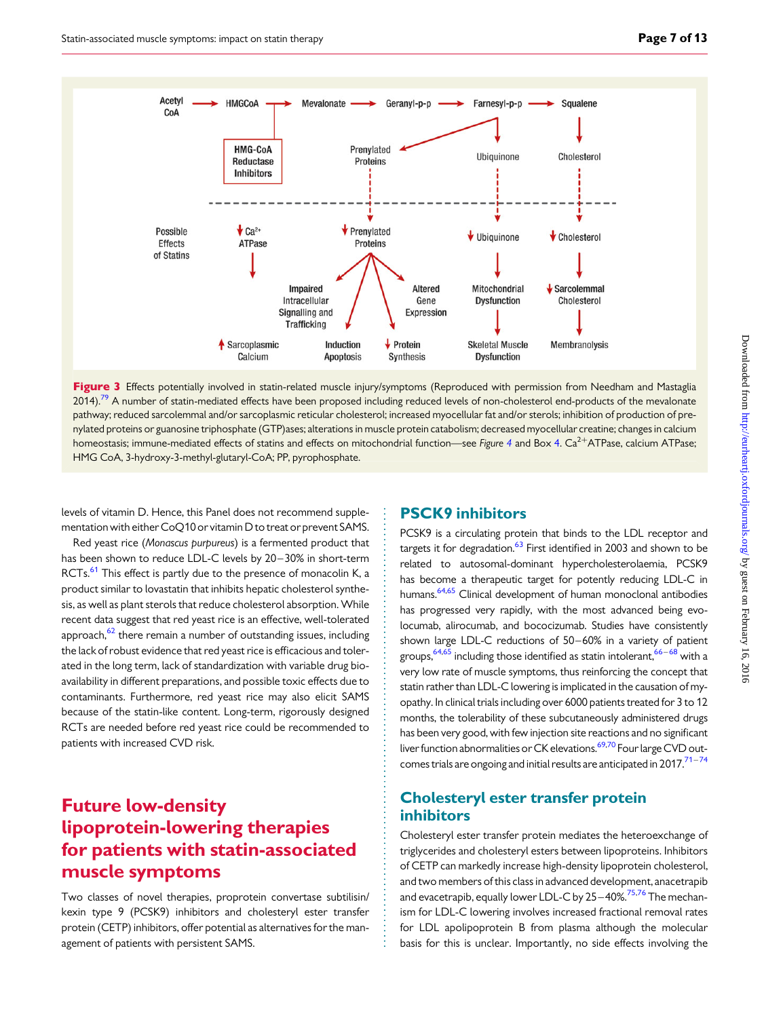<span id="page-6-0"></span>

Figure 3 Effects potentially involved in statin-related muscle injury/symptoms (Reproduced with permission from Needham and Mastaglia 2014).<sup>[79](#page-11-0)</sup> A number of statin-mediated effects have been proposed including reduced levels of non-cholesterol end-products of the mevalonate pathway; reduced sarcolemmal and/or sarcoplasmic reticular cholesterol; increased myocellular fat and/or sterols; inhibition of production of prenylated proteins or guanosine triphosphate (GTP)ases; alterations in muscle protein catabolism; decreased myocellular creatine; changes in calcium homeostasis; immune-mediated effects of statins and effects on mitochondrial function—see Figure [4](#page-8-0) and Box [4.](#page-7-0) Ca<sup>2+</sup>ATPase, calcium ATPase; HMG CoA, 3-hydroxy-3-methyl-glutaryl-CoA; PP, pyrophosphate.

levels of vitamin D. Hence, this Panel does not recommend supplementation with either CoQ10 or vitamin D to treat or prevent SAMS.

Red yeast rice (Monascus purpureus) is a fermented product that has been shown to reduce LDL-C levels by 20–30% in short-term RCTs.<sup>[61](#page-11-0)</sup> This effect is partly due to the presence of monacolin K, a product similar to lovastatin that inhibits hepatic cholesterol synthesis, as well as plant sterols that reduce cholesterol absorption. While recent data suggest that red yeast rice is an effective, well-tolerated approach, $62$  there remain a number of outstanding issues, including the lack of robust evidence that red yeast rice is efficacious and tolerated in the long term, lack of standardization with variable drug bioavailability in different preparations, and possible toxic effects due to contaminants. Furthermore, red yeast rice may also elicit SAMS because of the statin-like content. Long-term, rigorously designed RCTs are needed before red yeast rice could be recommended to patients with increased CVD risk.

# Future low-density lipoprotein-lowering therapies for patients with statin-associated muscle symptoms

Two classes of novel therapies, proprotein convertase subtilisin/ kexin type 9 (PCSK9) inhibitors and cholesteryl ester transfer protein (CETP) inhibitors, offer potential as alternatives for the management of patients with persistent SAMS.

### PSCK9 inhibitors

PCSK9 is a circulating protein that binds to the LDL receptor and targets it for degradation.<sup>63</sup> First identified in 2003 and shown to be related to autosomal-dominant hypercholesterolaemia, PCSK9 has become a therapeutic target for potently reducing LDL-C in humans.<sup>[64](#page-11-0),[65](#page-11-0)</sup> Clinical development of human monoclonal antibodies has progressed very rapidly, with the most advanced being evolocumab, alirocumab, and bococizumab. Studies have consistently shown large LDL-C reductions of 50–60% in a variety of patient groups,  $64,65$  $64,65$  $64,65$  including those identified as statin intolerant,  $66-68$  $66-68$  with a very low rate of muscle symptoms, thus reinforcing the concept that statin rather than LDL-C lowering is implicated in the causation of myopathy. In clinical trials including over 6000 patients treated for 3 to 12 months, the tolerability of these subcutaneously administered drugs has been very good, with few injection site reactions and no significant liver function abnormalities or CK elevations.<sup>[69,70](#page-11-0)</sup> Four large CVD outcomes trials are ongoing and initial results are anticipated in  $2017.^{71-74}$  $2017.^{71-74}$  $2017.^{71-74}$  $2017.^{71-74}$  $2017.^{71-74}$ 

### Cholesteryl ester transfer protein inhibitors

Cholesteryl ester transfer protein mediates the heteroexchange of triglycerides and cholesteryl esters between lipoproteins. Inhibitors of CETP can markedly increase high-density lipoprotein cholesterol, and two members of this class in advanced development, anacetrapib and evacetrapib, equally lower LDL-C by  $25-40\%$ .<sup>[75,76](#page-11-0)</sup> The mechanism for LDL-C lowering involves increased fractional removal rates for LDL apolipoprotein B from plasma although the molecular basis for this is unclear. Importantly, no side effects involving the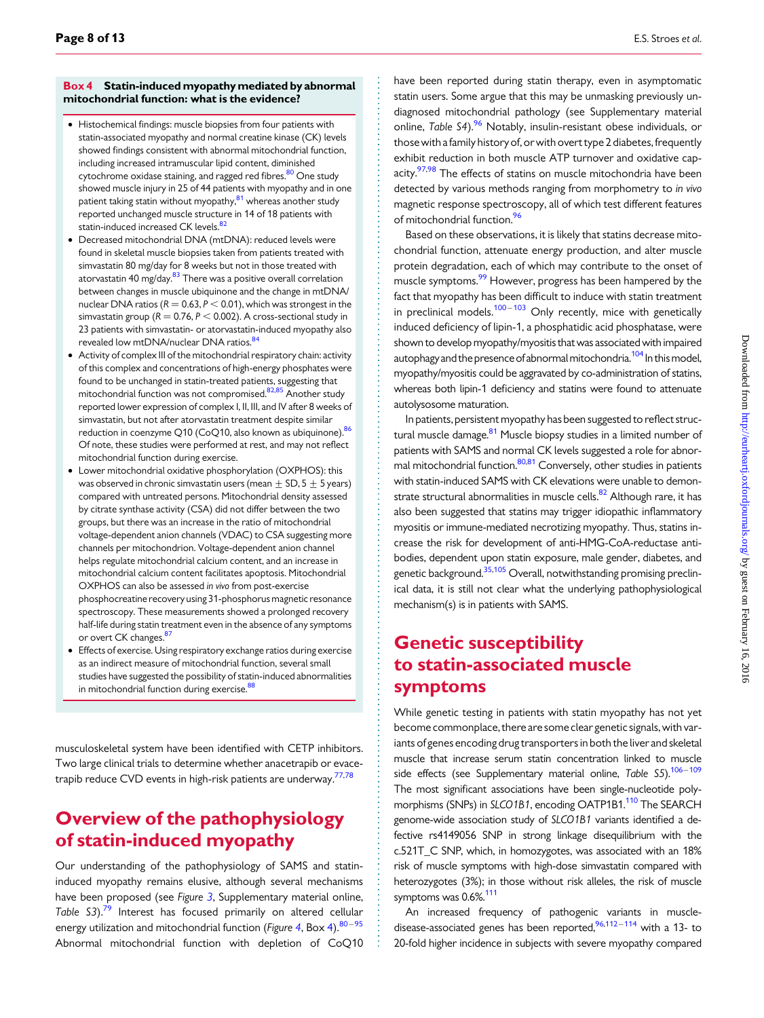#### <span id="page-7-0"></span>Box 4 Statin-induced myopathy mediated by abnormal mitochondrial function: what is the evidence?

- Histochemical findings: muscle biopsies from four patients with statin-associated myopathy and normal creatine kinase (CK) levels showed findings consistent with abnormal mitochondrial function, including increased intramuscular lipid content, diminished cytochrome oxidase staining, and ragged red fibres.<sup>[80](#page-11-0)</sup> One study showed muscle injury in 25 of 44 patients with myopathy and in one patient taking statin without myopathy, 81 whereas another study reported unchanged muscle structure in 14 of 18 patients with statin-induced increased CK levels.<sup>82</sup>
- Decreased mitochondrial DNA (mtDNA): reduced levels were found in skeletal muscle biopsies taken from patients treated with simvastatin 80 mg/day for 8 weeks but not in those treated with atorvastatin 40 mg/day.<sup>[83](#page-12-0)</sup> There was a positive overall correlation between changes in muscle ubiquinone and the change in mtDNA/ nuclear DNA ratios ( $R = 0.63$ ,  $P < 0.01$ ), which was strongest in the simvastatin group ( $R = 0.76$ ,  $P < 0.002$ ). A cross-sectional study in 23 patients with simvastatin- or atorvastatin-induced myopathy also revealed low mtDNA/nuclear DNA ratios.<sup>84</sup>
- † Activity of complex III of the mitochondrial respiratory chain: activity of this complex and concentrations of high-energy phosphates were found to be unchanged in statin-treated patients, suggesting that mitochondrial function was not compromised.<sup>82[,85](#page-12-0)</sup> Another study reported lower expression of complex I, II, III, and IV after 8 weeks of simvastatin, but not after atorvastatin treatment despite similar reduction in coenzyme Q10 (CoQ10, also known as ubiquinone). [86](#page-12-0) Of note, these studies were performed at rest, and may not reflect mitochondrial function during exercise.
- Lower mitochondrial oxidative phosphorylation (OXPHOS): this was observed in chronic simvastatin users (mean  $\pm$  SD, 5  $\pm$  5 years) compared with untreated persons. Mitochondrial density assessed by citrate synthase activity (CSA) did not differ between the two groups, but there was an increase in the ratio of mitochondrial voltage-dependent anion channels (VDAC) to CSA suggesting more channels per mitochondrion. Voltage-dependent anion channel helps regulate mitochondrial calcium content, and an increase in mitochondrial calcium content facilitates apoptosis. Mitochondrial OXPHOS can also be assessed in vivo from post-exercise phosphocreatine recovery using 31-phosphorus magnetic resonance spectroscopy. These measurements showed a prolonged recovery half-life during statin treatment even in the absence of any symptoms or overt CK changes.<sup>87</sup>
- Effects of exercise. Using respiratory exchange ratios during exercise as an indirect measure of mitochondrial function, several small studies have suggested the possibility of statin-induced abnormalities in mitochondrial function during exercise.<sup>8</sup>

musculoskeletal system have been identified with CETP inhibitors. Two large clinical trials to determine whether anacetrapib or evace-trapib reduce CVD events in high-risk patients are underway.<sup>[77,78](#page-11-0)</sup>

# Overview of the pathophysiology of statin-induced myopathy

Our understanding of the pathophysiology of SAMS and statininduced myopathy remains elusive, although several mechanisms have been proposed (see Figure [3](#page-6-0), [Supplementary material online,](http://eurheartj.oxfordjournals.org/lookup/suppl/doi:10.1093/eurheartj/ehv043/-/DC1) [Table S3](http://eurheartj.oxfordjournals.org/lookup/suppl/doi:10.1093/eurheartj/ehv043/-/DC1)).<sup>79</sup> Interest has focused primarily on altered cellular energy utilization and mitochondrial function (Figure [4](#page-8-0), Box 4).<sup>[80](#page-11-0)–[95](#page-12-0)</sup> Abnormal mitochondrial function with depletion of CoQ10

have been reported during statin therapy, even in asymptomatic statin users. Some argue that this may be unmasking previously undiagnosed mitochondrial pathology (see [Supplementary material](http://eurheartj.oxfordjournals.org/lookup/suppl/doi:10.1093/eurheartj/ehv043/-/DC1) online, Table  $54$ <sup>96</sup> Notably, insulin-resistant obese individuals, or those with a family history of, or with overt type 2 diabetes, frequently exhibit reduction in both muscle ATP turnover and oxidative capacity.<sup>97,98</sup> The effects of statins on muscle mitochondria have been detected by various methods ranging from morphometry to in vivo magnetic response spectroscopy, all of which test different features of mitochondrial function.<sup>96</sup>

Based on these observations, it is likely that statins decrease mitochondrial function, attenuate energy production, and alter muscle protein degradation, each of which may contribute to the onset of muscle symptoms.<sup>[99](#page-12-0)</sup> However, progress has been hampered by the fact that myopathy has been difficult to induce with statin treatment in preclinical models.<sup>[100](#page-12-0)-[103](#page-12-0)</sup> Only recently, mice with genetically induced deficiency of lipin-1, a phosphatidic acid phosphatase, were shown to develop myopathy/myositis that was associated with impaired autophagy and the presence of abnormal mitochondria.<sup>104</sup> In this model, myopathy/myositis could be aggravated by co-administration of statins, whereas both lipin-1 deficiency and statins were found to attenuate autolysosome maturation.

In patients, persistent myopathy has been suggested to reflect structural muscle damage.<sup>81</sup> Muscle biopsy studies in a limited number of patients with SAMS and normal CK levels suggested a role for abnormal mitochondrial function.<sup>80,81</sup> Conversely, other studies in patients with statin-induced SAMS with CK elevations were unable to demonstrate structural abnormalities in muscle cells.<sup>82</sup> Although rare, it has also been suggested that statins may trigger idiopathic inflammatory myositis or immune-mediated necrotizing myopathy. Thus, statins increase the risk for development of anti-HMG-CoA-reductase antibodies, dependent upon statin exposure, male gender, diabetes, and genetic background.<sup>35,[105](#page-12-0)</sup> Overall, notwithstanding promising preclinical data, it is still not clear what the underlying pathophysiological mechanism(s) is in patients with SAMS.

# Genetic susceptibility to statin-associated muscle symptoms

While genetic testing in patients with statin myopathy has not yet become commonplace, there are some clear genetic signals, with variants of genes encoding drug transporters in both the liver and skeletal muscle that increase serum statin concentration linked to muscle side effects (see [Supplementary material online,](http://eurheartj.oxfordjournals.org/lookup/suppl/doi:10.1093/eurheartj/ehv043/-/DC1) Table S5).<sup>[106](#page-12-0)-[109](#page-12-0)</sup> The most significant associations have been single-nucleotide poly-morphisms (SNPs) in SLCO1B1, encoding OATP1B1.<sup>[110](#page-12-0)</sup> The SEARCH genome-wide association study of SLCO1B1 variants identified a defective rs4149056 SNP in strong linkage disequilibrium with the c.521T\_C SNP, which, in homozygotes, was associated with an 18% risk of muscle symptoms with high-dose simvastatin compared with heterozygotes (3%); in those without risk alleles, the risk of muscle symptoms was 0.6%.<sup>111</sup>

An increased frequency of pathogenic variants in muscle-disease-associated genes has been reported,<sup>96,112–[114](#page-12-0)</sup> with a 13- to 20-fold higher incidence in subjects with severe myopathy compared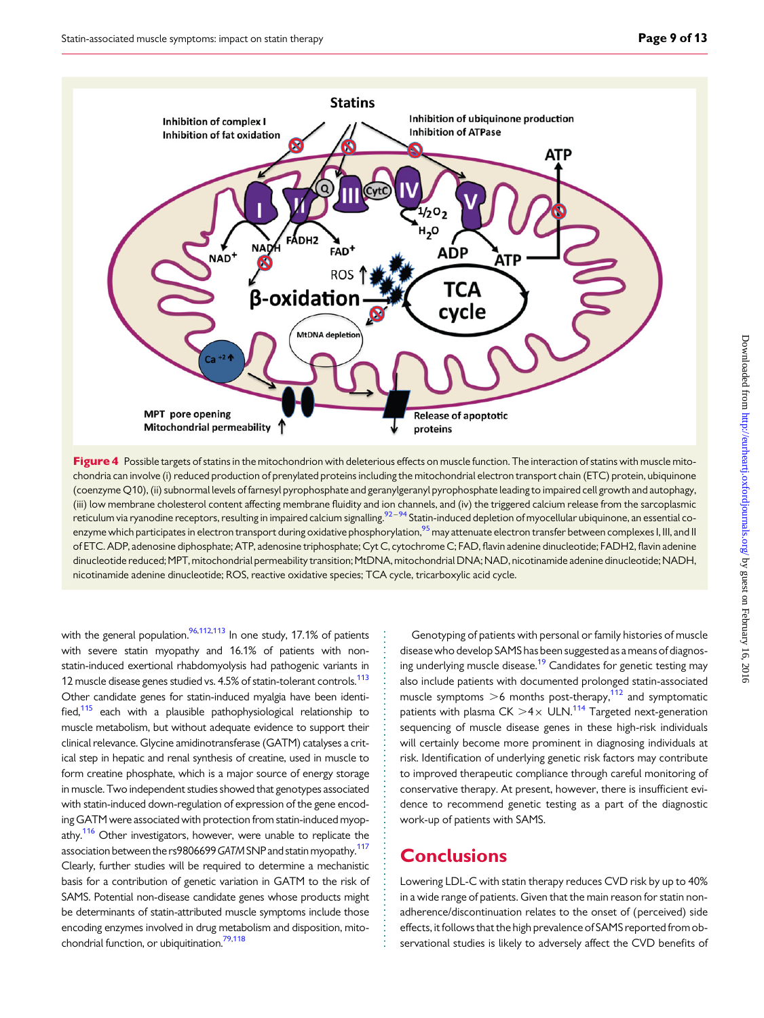<span id="page-8-0"></span>

Figure 4 Possible targets of statins in the mitochondrion with deleterious effects on muscle function. The interaction of statins with muscle mitochondria can involve (i) reduced production of prenylated proteins including the mitochondrial electron transport chain (ETC) protein, ubiquinone (coenzyme Q10), (ii) subnormal levels of farnesyl pyrophosphate and geranylgeranyl pyrophosphate leading to impaired cell growth and autophagy, (iii) low membrane cholesterol content affecting membrane fluidity and ion channels, and (iv) the triggered calcium release from the sarcoplasmic reticulum via ryanodine receptors, resulting in impaired calcium signalling.<sup>[92](#page-12-0)-[94](#page-12-0)</sup> Statin-induced depletion of myocellular ubiquinone, an essential coenzyme which participates in electron transport during oxidative phosphorylation,<sup>95</sup> may attenuate electron transfer between complexes I, III, and II of ETC. ADP, adenosine diphosphate; ATP, adenosine triphosphate; Cyt C, cytochrome C; FAD, flavin adenine dinucleotide; FADH2, flavin adenine dinucleotide reduced; MPT, mitochondrial permeability transition; MtDNA, mitochondrial DNA; NAD, nicotinamide adenine dinucleotide; NADH, nicotinamide adenine dinucleotide; ROS, reactive oxidative species; TCA cycle, tricarboxylic acid cycle.

with the general population.<sup>96,112,113</sup> In one study, 17.1% of patients with severe statin myopathy and 16.1% of patients with nonstatin-induced exertional rhabdomyolysis had pathogenic variants in 12 muscle disease genes studied vs. 4.5% of statin-tolerant controls.<sup>113</sup> Other candidate genes for statin-induced myalgia have been identified, $115$  each with a plausible pathophysiological relationship to muscle metabolism, but without adequate evidence to support their clinical relevance. Glycine amidinotransferase (GATM) catalyses a critical step in hepatic and renal synthesis of creatine, used in muscle to form creatine phosphate, which is a major source of energy storage in muscle. Two independent studies showed that genotypes associated with statin-induced down-regulation of expression of the gene encoding GATM were associated with protection from statin-induced myopathy.<sup>116</sup> Other investigators, however, were unable to replicate the association between the rs9806699 GATMSNP and statin myopathy.<sup>117</sup> Clearly, further studies will be required to determine a mechanistic basis for a contribution of genetic variation in GATM to the risk of SAMS. Potential non-disease candidate genes whose products might be determinants of statin-attributed muscle symptoms include those encoding enzymes involved in drug metabolism and disposition, mito-chondrial function, or ubiquitination.<sup>[79](#page-11-0),[118](#page-12-0)</sup>

Genotyping of patients with personal or family histories of muscle disease who develop SAMS has been suggested as a means of diagnosing underlying muscle disease.<sup>19</sup> Candidates for genetic testing may also include patients with documented prolonged statin-associated muscle symptoms  $>6$  months post-therapy,<sup>[112](#page-12-0)</sup> and symptomatic patients with plasma  $CK > 4 \times$  ULN.<sup>[114](#page-12-0)</sup> Targeted next-generation sequencing of muscle disease genes in these high-risk individuals will certainly become more prominent in diagnosing individuals at risk. Identification of underlying genetic risk factors may contribute to improved therapeutic compliance through careful monitoring of conservative therapy. At present, however, there is insufficient evidence to recommend genetic testing as a part of the diagnostic work-up of patients with SAMS.

# **Conclusions**

Lowering LDL-C with statin therapy reduces CVD risk by up to 40% in a wide range of patients. Given that the main reason for statin nonadherence/discontinuation relates to the onset of (perceived) side effects, it followsthat the high prevalence of SAMS reported fromobservational studies is likely to adversely affect the CVD benefits of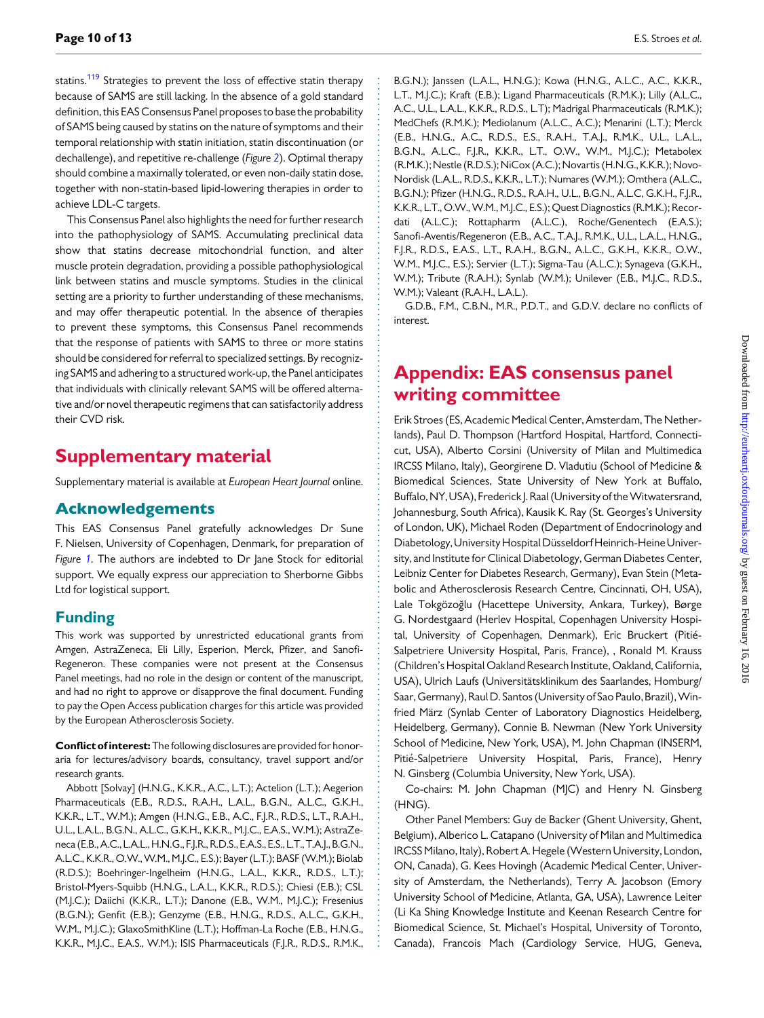statins.<sup>[119](#page-12-0)</sup> Strategies to prevent the loss of effective statin therapy because of SAMS are still lacking. In the absence of a gold standard definition, this EAS Consensus Panelproposesto base the probability of SAMS being caused by statins on the nature of symptoms and their temporal relationship with statin initiation, statin discontinuation (or dechallenge), and repetitive re-challenge (Figure [2](#page-5-0)). Optimal therapy should combine a maximally tolerated, or even non-daily statin dose, together with non-statin-based lipid-lowering therapies in order to achieve LDL-C targets.

This Consensus Panel also highlights the need for further research into the pathophysiology of SAMS. Accumulating preclinical data show that statins decrease mitochondrial function, and alter muscle protein degradation, providing a possible pathophysiological link between statins and muscle symptoms. Studies in the clinical setting are a priority to further understanding of these mechanisms, and may offer therapeutic potential. In the absence of therapies to prevent these symptoms, this Consensus Panel recommends that the response of patients with SAMS to three or more statins should be considered for referral to specialized settings. By recognizing SAMS and adhering to a structured work-up, the Panel anticipates that individuals with clinically relevant SAMS will be offered alternative and/or novel therapeutic regimens that can satisfactorily address their CVD risk.

# Supplementary material

[Supplementary material is available at](http://eurheartj.oxfordjournals.org/lookup/suppl/doi:10.1093/eurheartj/ehv043/-/DC1) European Heart Journal online.

### Acknowledgements

This EAS Consensus Panel gratefully acknowledges Dr Sune F. Nielsen, University of Copenhagen, Denmark, for preparation of Figure [1](#page-2-0). The authors are indebted to Dr Jane Stock for editorial support. We equally express our appreciation to Sherborne Gibbs Ltd for logistical support.

### Funding

This work was supported by unrestricted educational grants from Amgen, AstraZeneca, Eli Lilly, Esperion, Merck, Pfizer, and Sanofi-Regeneron. These companies were not present at the Consensus Panel meetings, had no role in the design or content of the manuscript, and had no right to approve or disapprove the final document. Funding to pay the Open Access publication charges for this article was provided by the European Atherosclerosis Society.

Conflict of interest: The following disclosures are provided for honoraria for lectures/advisory boards, consultancy, travel support and/or research grants.

Abbott [Solvay] (H.N.G., K.K.R., A.C., L.T.); Actelion (L.T.); Aegerion Pharmaceuticals (E.B., R.D.S., R.A.H., L.A.L., B.G.N., A.L.C., G.K.H., K.K.R., L.T., W.M.); Amgen (H.N.G., E.B., A.C., F.J.R., R.D.S., L.T., R.A.H., U.L., L.A.L., B.G.N., A.L.C., G.K.H., K.K.R., M.J.C., E.A.S., W.M.); AstraZeneca (E.B., A.C., L.A.L., H.N.G., F.J.R., R.D.S., E.A.S., E.S., L.T., T.A.J., B.G.N., A.L.C., K.K.R., O.W., W.M., M.J.C., E.S.); Bayer (L.T.); BASF (W.M.); Biolab (R.D.S.); Boehringer-Ingelheim (H.N.G., L.A.L., K.K.R., R.D.S., L.T.); Bristol-Myers-Squibb (H.N.G., L.A.L., K.K.R., R.D.S.); Chiesi (E.B.); CSL (M.J.C.); Daiichi (K.K.R., L.T.); Danone (E.B., W.M., M.J.C.); Fresenius (B.G.N.); Genfit (E.B.); Genzyme (E.B., H.N.G., R.D.S., A.L.C., G.K.H., W.M., M.J.C.); GlaxoSmithKline (L.T.); Hoffman-La Roche (E.B., H.N.G., K.K.R., M.J.C., E.A.S., W.M.); ISIS Pharmaceuticals (F.J.R., R.D.S., R.M.K., B.G.N.); Janssen (L.A.L., H.N.G.); Kowa (H.N.G., A.L.C., A.C., K.K.R., L.T., M.J.C.); Kraft (E.B.); Ligand Pharmaceuticals (R.M.K.); Lilly (A.L.C., A.C., U.L., L.A.L., K.K.R., R.D.S., L.T); Madrigal Pharmaceuticals (R.M.K.); MedChefs (R.M.K.); Mediolanum (A.L.C., A.C.); Menarini (L.T.); Merck (E.B., H.N.G., A.C., R.D.S., E.S., R.A.H., T.A.J., R.M.K., U.L., L.A.L., B.G.N., A.L.C., F.J.R., K.K.R., L.T., O.W., W.M., M.J.C.); Metabolex (R.M.K.); Nestle (R.D.S.); NiCox (A.C.); Novartis (H.N.G., K.K.R.); Novo-Nordisk (L.A.L., R.D.S., K.K.R., L.T.); Numares (W.M.); Omthera (A.L.C., B.G.N.); Pfizer (H.N.G., R.D.S., R.A.H., U.L., B.G.N., A.L.C, G.K.H., F.J.R., K.K.R., L.T., O.W., W.M., M.J.C., E.S.); Quest Diagnostics (R.M.K.); Recordati (A.L.C.); Rottapharm (A.L.C.), Roche/Genentech (E.A.S.); Sanofi-Aventis/Regeneron (E.B., A.C., T.A.J., R.M.K., U.L., L.A.L., H.N.G., F.J.R., R.D.S., E.A.S., L.T., R.A.H., B.G.N., A.L.C., G.K.H., K.K.R., O.W., W.M., M.J.C., E.S.); Servier (L.T.); Sigma-Tau (A.L.C.); Synageva (G.K.H., W.M.); Tribute (R.A.H.); Synlab (W.M.); Unilever (E.B., M.J.C., R.D.S., W.M.); Valeant (R.A.H., L.A.L.).

G.D.B., F.M., C.B.N., M.R., P.D.T., and G.D.V. declare no conflicts of interest.

# Appendix: EAS consensus panel writing committee

Erik Stroes (ES, Academic Medical Center, Amsterdam, The Netherlands), Paul D. Thompson (Hartford Hospital, Hartford, Connecticut, USA), Alberto Corsini (University of Milan and Multimedica IRCSS Milano, Italy), Georgirene D. Vladutiu (School of Medicine & Biomedical Sciences, State University of New York at Buffalo, Buffalo, NY, USA), Frederick J. Raal (Universityof the Witwatersrand, Johannesburg, South Africa), Kausik K. Ray (St. Georges's University of London, UK), Michael Roden (Department of Endocrinology and Diabetology, University Hospital Düsseldorf Heinrich-Heine University, and Institute for Clinical Diabetology, German Diabetes Center, Leibniz Center for Diabetes Research, Germany), Evan Stein (Metabolic and Atherosclerosis Research Centre, Cincinnati, OH, USA), Lale Tokgözoğlu (Hacettepe University, Ankara, Turkey), Børge G. Nordestgaard (Herlev Hospital, Copenhagen University Hospital, University of Copenhagen, Denmark), Eric Bruckert (Pitié-Salpetriere University Hospital, Paris, France), , Ronald M. Krauss (Children's Hospital Oakland Research Institute, Oakland, California, USA), Ulrich Laufs (Universitätsklinikum des Saarlandes, Homburg/ Saar, Germany), Raul D. Santos (University of Sao Paulo, Brazil), Winfried März (Synlab Center of Laboratory Diagnostics Heidelberg, Heidelberg, Germany), Connie B. Newman (New York University School of Medicine, New York, USA), M. John Chapman (INSERM, Pitié-Salpetriere University Hospital, Paris, France), Henry N. Ginsberg (Columbia University, New York, USA).

Co-chairs: M. John Chapman (MJC) and Henry N. Ginsberg (HNG).

Other Panel Members: Guy de Backer (Ghent University, Ghent, Belgium), Alberico L. Catapano (University of Milan and Multimedica IRCSS Milano, Italy), Robert A. Hegele (Western University, London, ON, Canada), G. Kees Hovingh (Academic Medical Center, University of Amsterdam, the Netherlands), Terry A. Jacobson (Emory University School of Medicine, Atlanta, GA, USA), Lawrence Leiter (Li Ka Shing Knowledge Institute and Keenan Research Centre for Biomedical Science, St. Michael's Hospital, University of Toronto, Canada), Francois Mach (Cardiology Service, HUG, Geneva,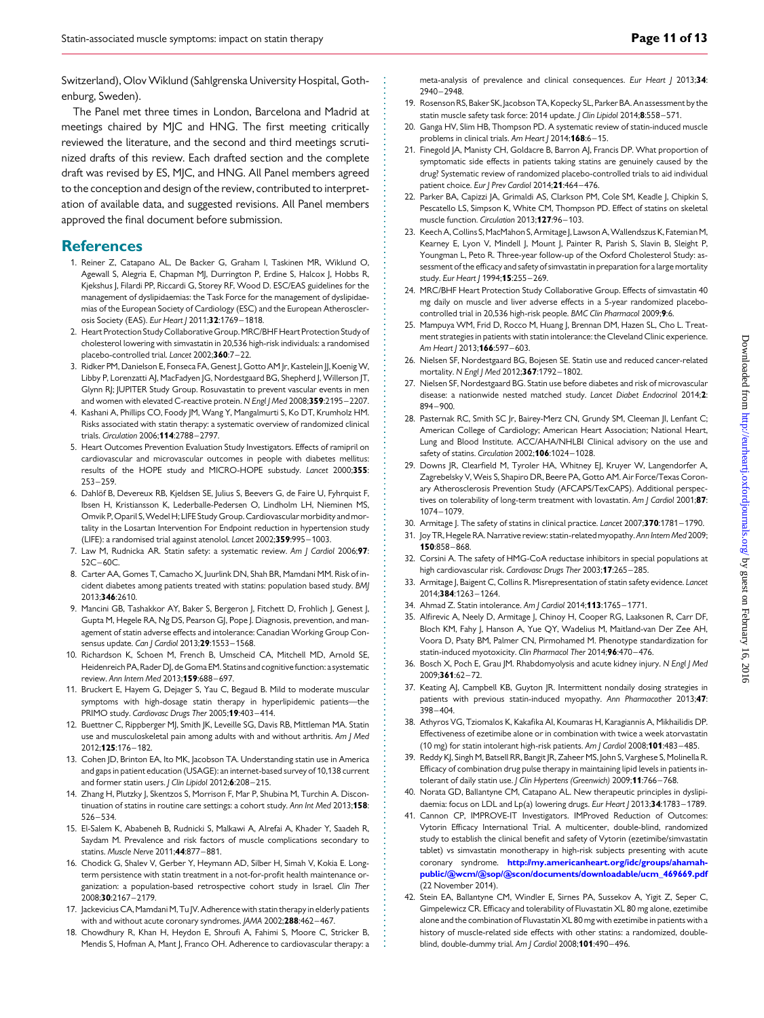<span id="page-10-0"></span>Switzerland), Olov Wiklund (Sahlgrenska University Hospital, Gothenburg, Sweden).

The Panel met three times in London, Barcelona and Madrid at meetings chaired by MJC and HNG. The first meeting critically reviewed the literature, and the second and third meetings scrutinized drafts of this review. Each drafted section and the complete draft was revised by ES, MJC, and HNG. All Panel members agreed to the conception and design of the review, contributed to interpretation of available data, and suggested revisions. All Panel members approved the final document before submission.

#### References

- 1. Reiner Z, Catapano AL, De Backer G, Graham I, Taskinen MR, Wiklund O, Agewall S, Alegria E, Chapman MJ, Durrington P, Erdine S, Halcox J, Hobbs R, Kjekshus J, Filardi PP, Riccardi G, Storey RF, Wood D. ESC/EAS guidelines for the management of dyslipidaemias: the Task Force for the management of dyslipidaemias of the European Society of Cardiology (ESC) and the European Atherosclerosis Society (EAS). Eur Heart J 2011;32:1769-1818.
- 2. Heart Protection Study CollaborativeGroup. MRC/BHFHeart Protection Study of cholesterol lowering with simvastatin in 20,536 high-risk individuals: a randomised placebo-controlled trial. Lancet 2002;360:7–22.
- 3. Ridker PM, Danielson E, Fonseca FA, Genest J, Gotto AM Jr, Kastelein JJ, Koenig W, Libby P, Lorenzatti AJ, MacFadyen JG, Nordestgaard BG, Shepherd J, Willerson JT, Glynn RJ; JUPITER Study Group. Rosuvastatin to prevent vascular events in men and women with elevated C-reactive protein. N Engl | Med 2008;359:2195-2207.
- 4. Kashani A, Phillips CO, Foody JM, Wang Y, Mangalmurti S, Ko DT, Krumholz HM. Risks associated with statin therapy: a systematic overview of randomized clinical trials. Circulation 2006;114:2788-2797.
- 5. Heart Outcomes Prevention Evaluation Study Investigators. Effects of ramipril on cardiovascular and microvascular outcomes in people with diabetes mellitus: results of the HOPE study and MICRO-HOPE substudy. Lancet 2000;355: 253–259.
- 6. Dahlöf B, Devereux RB, Kjeldsen SE, Julius S, Beevers G, de Faire U, Fyhrquist F, Ibsen H, Kristiansson K, Lederballe-Pedersen O, Lindholm LH, Nieminen MS, Omvik P, Oparil S, Wedel H; LIFE Study Group. Cardiovascular morbidity and mortality in the Losartan Intervention For Endpoint reduction in hypertension study (LIFE): a randomised trial against atenolol. Lancet 2002;359:995–1003.
- 7. Law M, Rudnicka AR. Statin safety: a systematic review. Am J Cardiol 2006;97: 52C–60C.
- 8. Carter AA, Gomes T, Camacho X, Juurlink DN, Shah BR, Mamdani MM. Risk of incident diabetes among patients treated with statins: population based study. BMJ 2013;346:2610.
- 9. Mancini GB, Tashakkor AY, Baker S, Bergeron J, Fitchett D, Frohlich J, Genest J, Gupta M, Hegele RA, Ng DS, Pearson GJ, Pope J. Diagnosis, prevention, and management of statin adverse effects and intolerance: Canadian Working Group Consensus update. Can J Cardiol 2013;29:1553-1568.
- 10. Richardson K, Schoen M, French B, Umscheid CA, Mitchell MD, Arnold SE, Heidenreich PA, Rader DJ, de Goma EM. Statins and cognitive function: a systematic review. Ann Intern Med 2013;159:688–697.
- 11. Bruckert E, Hayem G, Dejager S, Yau C, Begaud B. Mild to moderate muscular symptoms with high-dosage statin therapy in hyperlipidemic patients—the PRIMO study. Cardiovasc Drugs Ther 2005:19:403-414.
- 12. Buettner C, Rippberger MJ, Smith JK, Leveille SG, Davis RB, Mittleman MA. Statin use and musculoskeletal pain among adults with and without arthritis. Am J Med 2012;125:176–182.
- 13. Cohen JD, Brinton EA, Ito MK, Jacobson TA. Understanding statin use in America and gaps in patient education (USAGE): an internet-based survey of 10,138 current and former statin users. J Clin Lipidol 2012;6:208-215.
- 14. Zhang H, Plutzky J, Skentzos S, Morrison F, Mar P, Shubina M, Turchin A. Discontinuation of statins in routine care settings: a cohort study. Ann Int Med 2013;158: 526–534.
- 15. El-Salem K, Ababeneh B, Rudnicki S, Malkawi A, Alrefai A, Khader Y, Saadeh R, Saydam M. Prevalence and risk factors of muscle complications secondary to statins. Muscle Nerve 2011;44:877–881.
- 16. Chodick G, Shalev V, Gerber Y, Heymann AD, Silber H, Simah V, Kokia E. Longterm persistence with statin treatment in a not-for-profit health maintenance organization: a population-based retrospective cohort study in Israel. Clin Ther 2008;30:2167–2179.
- 17. Jackevicius CA, Mamdani M, Tu JV. Adherence with statin therapy in elderly patients with and without acute coronary syndromes. JAMA 2002;288:462–467.
- 18. Chowdhury R, Khan H, Heydon E, Shroufi A, Fahimi S, Moore C, Stricker B, Mendis S, Hofman A, Mant I, Franco OH, Adherence to cardiovascular therapy: a

meta-analysis of prevalence and clinical consequences. Eur Heart | 2013;34: 2940–2948.

- 19. RosensonRS, BakerSK, Jacobson TA, Kopecky SL, Parker BA. An assessment by the statin muscle safety task force: 2014 update. J Clin Lipidol 2014;8:558-571.
- 20. Ganga HV, Slim HB, Thompson PD. A systematic review of statin-induced muscle problems in clinical trials. Am Heart J 2014;168:6-15.
- 21. Finegold JA, Manisty CH, Goldacre B, Barron AJ, Francis DP. What proportion of symptomatic side effects in patients taking statins are genuinely caused by the drug? Systematic review of randomized placebo-controlled trials to aid individual patient choice. Eur J Prev Cardiol 2014;21:464-476.
- 22. Parker BA, Capizzi JA, Grimaldi AS, Clarkson PM, Cole SM, Keadle J, Chipkin S, Pescatello LS, Simpson K, White CM, Thompson PD. Effect of statins on skeletal muscle function. Circulation 2013;127:96–103.
- 23. Keech A, Collins S, MacMahon S, Armitage J, Lawson A, Wallendszus K, Fatemian M, Kearney E, Lyon V, Mindell J, Mount J, Painter R, Parish S, Slavin B, Sleight P, Youngman L, Peto R. Three-year follow-up of the Oxford Cholesterol Study: assessment of the efficacyand safetyof simvastatin in preparation for a large mortality study. Eur Heart / 1994;15:255-269.
- 24. MRC/BHF Heart Protection Study Collaborative Group. Effects of simvastatin 40 mg daily on muscle and liver adverse effects in a 5-year randomized placebocontrolled trial in 20,536 high-risk people. BMC Clin Pharmacol 2009;9:6.
- 25. Mampuya WM, Frid D, Rocco M, Huang J, Brennan DM, Hazen SL, Cho L. Treatment strategies in patients with statin intolerance: the Cleveland Clinic experience. Am Heart J 2013;166:597-603.
- 26. Nielsen SF, Nordestgaard BG, Bojesen SE. Statin use and reduced cancer-related mortality. N Engl J Med 2012;367:1792-1802.
- 27. Nielsen SF, Nordestgaard BG. Statin use before diabetes and risk of microvascular disease: a nationwide nested matched study. Lancet Diabet Endocrinol 2014;2: 894–900.
- 28. Pasternak RC, Smith SC Jr, Bairey-Merz CN, Grundy SM, Cleeman JI, Lenfant C; American College of Cardiology; American Heart Association; National Heart, Lung and Blood Institute. ACC/AHA/NHLBI Clinical advisory on the use and safety of statins. Circulation 2002;106:1024-1028.
- 29. Downs JR, Clearfield M, Tyroler HA, Whitney EJ, Kruyer W, Langendorfer A, Zagrebelsky V, Weis S, Shapiro DR, Beere PA, Gotto AM. Air Force/Texas Coronary Atherosclerosis Prevention Study (AFCAPS/TexCAPS). Additional perspectives on tolerability of long-term treatment with lovastatin. Am J Cardiol 2001;87: 1074–1079.
- 30. Armitage I. The safety of statins in clinical practice. Lancet 2007:370:1781-1790.
- 31. Joy TR, Hegele RA. Narrative review: statin-related myopathy. Ann Intern Med 2009; 150:858–868.
- 32. Corsini A. The safety of HMG-CoA reductase inhibitors in special populations at high cardiovascular risk. Cardiovasc Drugs Ther 2003;17:265-285.
- 33. Armitage J, Baigent C, Collins R. Misrepresentation of statin safety evidence. Lancet 2014;384:1263–1264.
- 34. Ahmad Z. Statin intolerance. Am J Cardiol 2014;113:1765–1771.
- 35. Alfirevic A, Neely D, Armitage J, Chinoy H, Cooper RG, Laaksonen R, Carr DF, Bloch KM, Fahy J, Hanson A, Yue OY, Wadelius M, Maitland-van Der Zee AH, Voora D, Psaty BM, Palmer CN, Pirmohamed M. Phenotype standardization for statin-induced myotoxicity. Clin Pharmacol Ther 2014;96:470-476.
- 36. Bosch X, Poch E, Grau JM. Rhabdomyolysis and acute kidney injury. N Engl J Med 2009;361:62–72.
- 37. Keating AJ, Campbell KB, Guyton JR. Intermittent nondaily dosing strategies in patients with previous statin-induced myopathy. Ann Pharmacother 2013;47: 398–404.
- 38. Athyros VG, Tziomalos K, Kakafika AI, Koumaras H, Karagiannis A, Mikhailidis DP. Effectiveness of ezetimibe alone or in combination with twice a week atorvastatin (10 mg) for statin intolerant high-risk patients. Am J Cardiol 2008;101:483-485.
- 39. Reddy KJ, Singh M, Batsell RR, Bangit JR, Zaheer MS, John S, Varghese S, Molinella R. Efficacy of combination drug pulse therapy in maintaining lipid levels in patients intolerant of daily statin use. J Clin Hypertens (Greenwich) 2009;11:766-768.
- 40. Norata GD, Ballantyne CM, Catapano AL. New therapeutic principles in dyslipidaemia: focus on LDL and Lp(a) lowering drugs. Eur Heart J 2013;34:1783-1789.
- 41. Cannon CP, IMPROVE-IT Investigators. IMProved Reduction of Outcomes: Vytorin Efficacy International Trial. A multicenter, double-blind, randomized study to establish the clinical benefit and safety of Vytorin (ezetimibe/simvastatin tablet) vs simvastatin monotherapy in high-risk subjects presenting with acute coronary syndrome. [http://my.americanheart.org/idc/groups/ahamah](http://my.americanheart.org/idc/groups/ahamah-public/@wcm/@sop/@scon/documents/downloadable/ucm_469669.pdf)[public/@wcm/@sop/@scon/documents/downloadable/ucm\\_469669.pdf](http://my.americanheart.org/idc/groups/ahamah-public/@wcm/@sop/@scon/documents/downloadable/ucm_469669.pdf) (22 November 2014).
- 42. Stein EA, Ballantyne CM, Windler E, Sirnes PA, Sussekov A, Yigit Z, Seper C, Gimpelewicz CR. Efficacy and tolerability of Fluvastatin XL 80 mg alone, ezetimibe alone and the combination of Fluvastatin XL 80 mg with ezetimibe in patients with a history of muscle-related side effects with other statins: a randomized, doubleblind, double-dummy trial. Am J Cardiol 2008;101:490-496.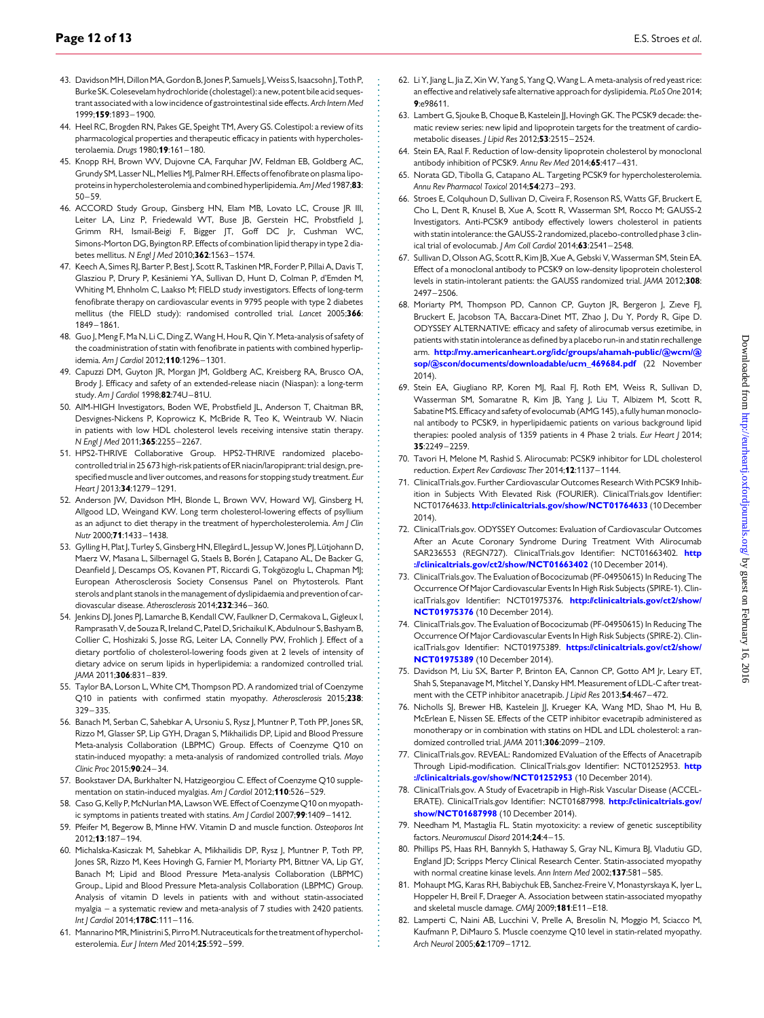- <span id="page-11-0"></span>43. Davidson MH, Dillon MA, Gordon B, Jones P, Samuels J, Weiss S, Isaacsohn J, Toth P, BurkeSK. Colesevelam hydrochloride(cholestagel):anew, potentbile acidsequestrant associated with a low incidence of gastrointestinal side effects. Arch Intern Med 1999;159:1893–1900.
- 44. Heel RC, Brogden RN, Pakes GE, Speight TM, Avery GS. Colestipol: a review of its pharmacological properties and therapeutic efficacy in patients with hypercholesterolaemia. Drugs 1980;19:161–180.
- 45. Knopp RH, Brown WV, Dujovne CA, Farquhar JW, Feldman EB, Goldberg AC, Grundy SM, Lasser NL, Mellies MJ, Palmer RH. Effects of fenofibrateon plasma lipoproteins in hypercholesterolemia and combined hyperlipidemia. Am J Med 1987;83: 50–59.
- 46. ACCORD Study Group, Ginsberg HN, Elam MB, Lovato LC, Crouse JR III, Leiter LA, Linz P, Friedewald WT, Buse JB, Gerstein HC, Probstfield J, Grimm RH, Ismail-Beigi F, Bigger JT, Goff DC Jr, Cushman WC, Simons-Morton DG, Byington RP. Effects of combination lipid therapy in type 2 diabetes mellitus. N Engl J Med 2010;362:1563–1574.
- 47. Keech A, Simes RJ, Barter P, Best J, Scott R, Taskinen MR, Forder P, Pillai A, Davis T, Glasziou P, Drury P, Kesäniemi YA, Sullivan D, Hunt D, Colman P, d'Emden M, Whiting M, Ehnholm C, Laakso M; FIELD study investigators. Effects of long-term fenofibrate therapy on cardiovascular events in 9795 people with type 2 diabetes mellitus (the FIELD study): randomised controlled trial. Lancet 2005;366: 1849–1861.
- 48. Guo J, Meng F, Ma N, Li C, Ding Z, Wang H, Hou R, Qin Y. Meta-analysis of safety of the coadministration of statin with fenofibrate in patients with combined hyperlipidemia. Am I Cardiol 2012:110:1296-1301.
- 49. Capuzzi DM, Guyton JR, Morgan JM, Goldberg AC, Kreisberg RA, Brusco OA, Brody J. Efficacy and safety of an extended-release niacin (Niaspan): a long-term study. Am J Cardiol 1998;82:74U–81U.
- 50. AIM-HIGH Investigators, Boden WE, Probstfield JL, Anderson T, Chaitman BR, Desvignes-Nickens P, Koprowicz K, McBride R, Teo K, Weintraub W. Niacin in patients with low HDL cholesterol levels receiving intensive statin therapy. N Engl | Med 2011:365:2255-2267.
- 51. HPS2-THRIVE Collaborative Group. HPS2-THRIVE randomized placebocontrolled trial in 25 673 high-risk patients of ER niacin/laropiprant: trial design, prespecified muscle and liver outcomes, and reasons for stopping study treatment. Eur Heart J 2013;34:1279–1291.
- 52. Anderson JW, Davidson MH, Blonde L, Brown WV, Howard WJ, Ginsberg H, Allgood LD, Weingand KW. Long term cholesterol-lowering effects of psyllium as an adjunct to diet therapy in the treatment of hypercholesterolemia. Am J Clin Nutr 2000;71:1433–1438.
- 53. Gylling H, Plat J, Turley S, Ginsberg HN, Ellegård L, Jessup W, Jones PJ, Lütjohann D, Maerz W, Masana L, Silbernagel G, Staels B, Borén J, Catapano AL, De Backer G, Deanfield J, Descamps OS, Kovanen PT, Riccardi G, Tokgözoglu L, Chapman MJ; European Atherosclerosis Society Consensus Panel on Phytosterols. Plant sterols and plant stanols in the management of dyslipidaemia and prevention of cardiovascular disease. Atherosclerosis 2014:232:346-360.
- 54. Jenkins DJ, Jones PJ, Lamarche B, Kendall CW, Faulkner D, Cermakova L, Gigleux I, Ramprasath V, de Souza R, Ireland C, Patel D, Srichaikul K, Abdulnour S, Bashyam B, Collier C, Hoshizaki S, Josse RG, Leiter LA, Connelly PW, Frohlich J. Effect of a dietary portfolio of cholesterol-lowering foods given at 2 levels of intensity of dietary advice on serum lipids in hyperlipidemia: a randomized controlled trial. JAMA 2011;306:831–839.
- 55. Taylor BA, Lorson L, White CM, Thompson PD. A randomized trial of Coenzyme Q10 in patients with confirmed statin myopathy. Atherosclerosis 2015;238: 329–335.
- 56. Banach M, Serban C, Sahebkar A, Ursoniu S, Rysz J, Muntner P, Toth PP, Jones SR, Rizzo M, Glasser SP, Lip GYH, Dragan S, Mikhailidis DP, Lipid and Blood Pressure Meta-analysis Collaboration (LBPMC) Group. Effects of Coenzyme Q10 on statin-induced myopathy: a meta-analysis of randomized controlled trials. Mayo Clinic Proc 2015;90:24–34.
- 57. Bookstaver DA, Burkhalter N, Hatzigeorgiou C. Effect of Coenzyme Q10 supplementation on statin-induced myalgias. Am | Cardiol 2012;110:526-529.
- 58. Caso G, Kelly P, McNurlan MA, Lawson WE. Effect of Coenzyme Q10 on myopathic symptoms in patients treated with statins. Am J Cardiol 2007;99:1409-1412.
- 59. Pfeifer M, Begerow B, Minne HW. Vitamin D and muscle function. Osteoporos Int 2012;13:187–194.
- 60. Michalska-Kasiczak M, Sahebkar A, Mikhailidis DP, Rysz J, Muntner P, Toth PP, Jones SR, Rizzo M, Kees Hovingh G, Farnier M, Moriarty PM, Bittner VA, Lip GY, Banach M; Lipid and Blood Pressure Meta-analysis Collaboration (LBPMC) Group., Lipid and Blood Pressure Meta-analysis Collaboration (LBPMC) Group. Analysis of vitamin D levels in patients with and without statin-associated myalgia – a systematic review and meta-analysis of 7 studies with 2420 patients. Int J Cardiol 2014;178C:111–116.
- 61. Mannarino MR, Ministrini S, Pirro M. Nutraceuticals for the treatment of hypercholesterolemia. Eur J Intern Med 2014;25:592-599.
- 62. Li Y, Jiang L, Jia Z, Xin W, Yang S, Yang Q, Wang L. A meta-analysis of red yeast rice: an effective and relativelysafe alternative approachfor dyslipidemia. PLoS One 2014; 9:e98611.
- 63. Lambert G, Sjouke B, Choque B, Kastelein JJ, Hovingh GK. The PCSK9 decade: thematic review series: new lipid and lipoprotein targets for the treatment of cardiometabolic diseases. J Lipid Res 2012;53:2515-2524.
- 64. Stein EA, Raal F. Reduction of low-density lipoprotein cholesterol by monoclonal antibody inhibition of PCSK9. Annu Rev Med 2014;65:417–431.
- 65. Norata GD, Tibolla G, Catapano AL. Targeting PCSK9 for hypercholesterolemia. Annu Rev Pharmacol Toxicol 2014;54:273–293.
- 66. Stroes E, Colquhoun D, Sullivan D, Civeira F, Rosenson RS, Watts GF, Bruckert E, Cho L, Dent R, Knusel B, Xue A, Scott R, Wasserman SM, Rocco M; GAUSS-2 Investigators. Anti-PCSK9 antibody effectively lowers cholesterol in patients with statin intolerance: the GAUSS-2 randomized, placebo-controlled phase 3 clinical trial of evolocumab. J Am Coll Cardiol 2014;63:2541-2548.
- 67. Sullivan D, Olsson AG, Scott R, Kim JB, Xue A, Gebski V, Wasserman SM, Stein EA. Effect of a monoclonal antibody to PCSK9 on low-density lipoprotein cholesterol levels in statin-intolerant patients: the GAUSS randomized trial. JAMA 2012;308: 2497–2506.
- 68. Moriarty PM, Thompson PD, Cannon CP, Guyton JR, Bergeron J, Zıeve FJ, Bruckert E, Jacobson TA, Baccara-Dinet MT, Zhao J, Du Y, Pordy R, Gipe D. ODYSSEY ALTERNATIVE: efficacy and safety of alirocumab versus ezetimibe, in patients with statin intolerance as defined by a placebo run-in and statin rechallenge arm. [http://my.americanheart.org/idc/groups/ahamah-public/@wcm/@](http://my.americanheart.org/idc/groups/ahamah-public/@wcm/@sop/@scon/documents/downloadable/ucm_469684.pdf) [sop/@scon/documents/downloadable/ucm\\_469684.pdf](http://my.americanheart.org/idc/groups/ahamah-public/@wcm/@sop/@scon/documents/downloadable/ucm_469684.pdf) (22 November 2014).
- 69. Stein EA, Giugliano RP, Koren MJ, Raal FJ, Roth EM, Weiss R, Sullivan D, Wasserman SM, Somaratne R, Kim JB, Yang J, Liu T, Albizem M, Scott R, Sabatine MS. Efficacyand safetyof evolocumab (AMG 145), afully human monoclonal antibody to PCSK9, in hyperlipidaemic patients on various background lipid therapies: pooled analysis of 1359 patients in 4 Phase 2 trials. Eur Heart J 2014; 35:2249–2259.
- 70. Tavori H, Melone M, Rashid S. Alirocumab: PCSK9 inhibitor for LDL cholesterol reduction. Expert Rev Cardiovasc Ther 2014;12:1137–1144.
- 71. ClinicalTrials.gov. Further Cardiovascular Outcomes Research With PCSK9 Inhibition in Subjects With Elevated Risk (FOURIER). ClinicalTrials.gov Identifier: NCT01764633. <http://clinicaltrials.gov/show/NCT01764633> (10 December 2014)
- 72. ClinicalTrials.gov. ODYSSEY Outcomes: Evaluation of Cardiovascular Outcomes After an Acute Coronary Syndrome During Treatment With Alirocumab SAR236553 (REGN727). ClinicalTrials.gov Identifier: NCT01663402. [http](http://clinicaltrials.gov/ct2/show/NCT01663402) [://clinicaltrials.gov/ct2/show/NCT01663402](http://clinicaltrials.gov/ct2/show/NCT01663402) (10 December 2014).
- 73. ClinicalTrials.gov. The Evaluation of Bococizumab (PF-04950615) In Reducing The Occurrence Of Major Cardiovascular Events In High Risk Subjects (SPIRE-1). ClinicalTrials.gov Identifier: NCT01975376. [http://clinicaltrials.gov/ct2/show/](http://clinicaltrials.gov/ct2/show/NCT01975376) [NCT01975376](http://clinicaltrials.gov/ct2/show/NCT01975376) (10 December 2014).
- 74. ClinicalTrials.gov. The Evaluation of Bococizumab (PF-04950615) In Reducing The Occurrence Of Major Cardiovascular Events In High Risk Subjects (SPIRE-2). ClinicalTrials.gov Identifier: NCT01975389. [https://clinicaltrials.gov/ct2/show/](https://clinicaltrials.gov/ct2/show/NCT01975389) [NCT01975389](https://clinicaltrials.gov/ct2/show/NCT01975389) (10 December 2014).
- 75. Davidson M, Liu SX, Barter P, Brinton EA, Cannon CP, Gotto AM Jr, Leary ET, Shah S, Stepanavage M, Mitchel Y, Dansky HM. Measurement of LDL-C after treatment with the CETP inhibitor anacetrapib. *J Lipid Res* 2013;54:467-472.
- 76. Nicholls SJ, Brewer HB, Kastelein JJ, Krueger KA, Wang MD, Shao M, Hu B, McErlean E, Nissen SE. Effects of the CETP inhibitor evacetrapib administered as monotherapy or in combination with statins on HDL and LDL cholesterol: a randomized controlled trial. JAMA 2011;306:2099-2109.
- 77. ClinicalTrials.gov. REVEAL: Randomized EValuation of the Effects of Anacetrapib Through Lipid-modification. ClinicalTrials.gov Identifier: NCT01252953. [http](http://clinicaltrials.gov/show/NCT01252953) [://clinicaltrials.gov/show/NCT01252953](http://clinicaltrials.gov/show/NCT01252953) (10 December 2014).
- 78. ClinicalTrials.gov. A Study of Evacetrapib in High-Risk Vascular Disease (ACCELERATE). ClinicalTrials.gov Identifier: NCT01687998. [http://clinicaltrials.gov/](http://clinicaltrials.gov/show/NCT01687998) [show/NCT01687998](http://clinicaltrials.gov/show/NCT01687998) (10 December 2014).
- 79. Needham M, Mastaglia FL. Statin myotoxicity: a review of genetic susceptibility factors. Neuromuscul Disord 2014;24:4-15.
- 80. Phillips PS, Haas RH, Bannykh S, Hathaway S, Gray NL, Kimura BJ, Vladutiu GD, England JD; Scripps Mercy Clinical Research Center. Statin-associated myopathy with normal creatine kinase levels. Ann Intern Med 2002:137:581-585
- 81. Mohaupt MG, Karas RH, Babiychuk EB, Sanchez-Freire V, Monastyrskaya K, Iyer L, Hoppeler H, Breil F, Draeger A. Association between statin-associated myopathy and skeletal muscle damage. CMAJ 2009;181:E11-E18.
- 82. Lamperti C, Naini AB, Lucchini V, Prelle A, Bresolin N, Moggio M, Sciacco M, Kaufmann P, DiMauro S. Muscle coenzyme Q10 level in statin-related myopathy. Arch Neurol 2005;62:1709–1712.